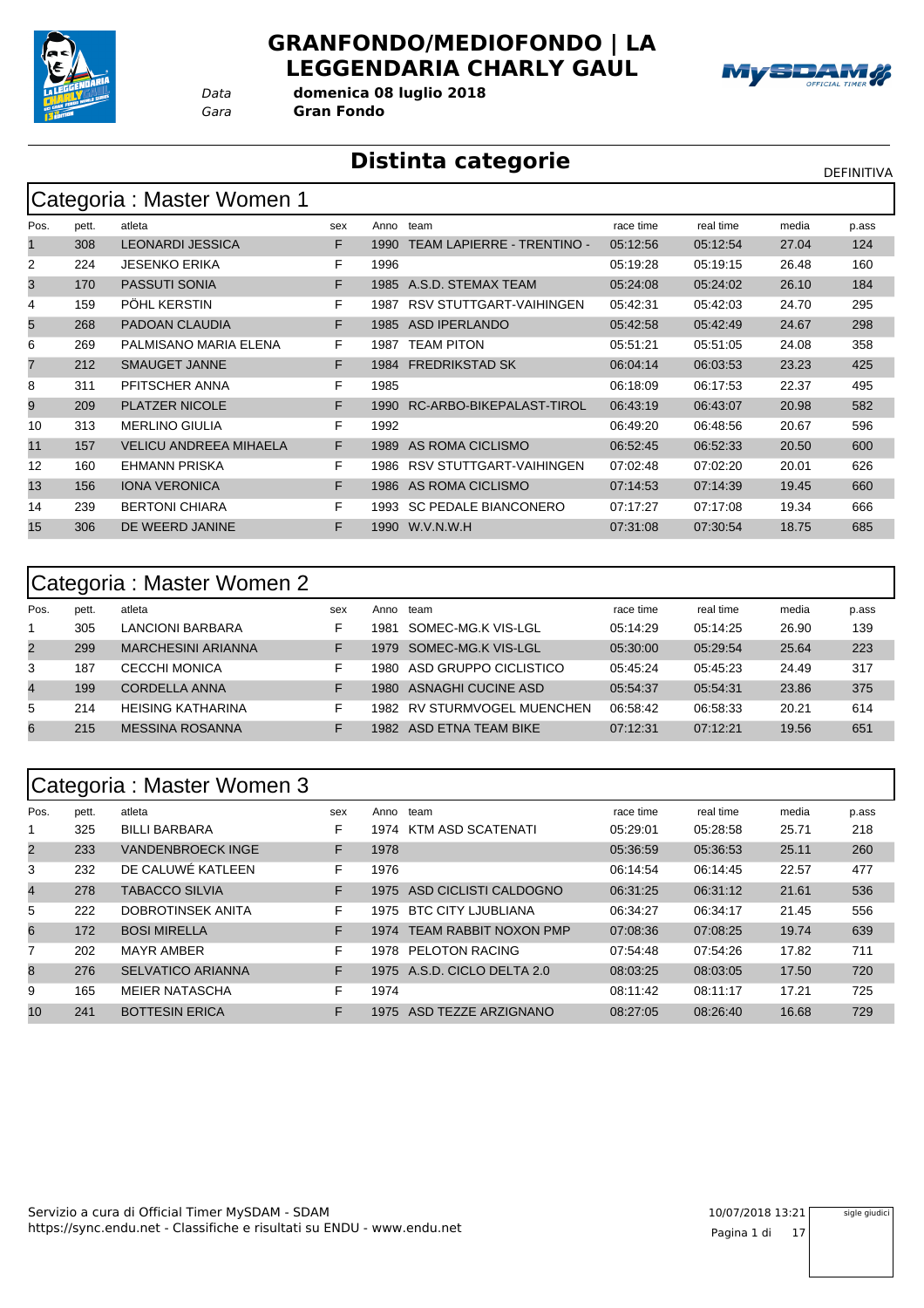

#### **GRANFONDO/MEDIOFONDO | LA LEGGENDARIA CHARLY GAUL**



*Gara* **Gran Fondo** *Data* **domenica 08 luglio 2018**

#### **Distinta categorie** Distintation of the DEFINITIVA

|      | Categoria : Master Women 1 |                               |     |      |                                   |           |           |       |       |  |  |  |  |
|------|----------------------------|-------------------------------|-----|------|-----------------------------------|-----------|-----------|-------|-------|--|--|--|--|
| Pos. | pett.                      | atleta                        | sex | Anno | team                              | race time | real time | media | p.ass |  |  |  |  |
| 1    | 308                        | <b>LEONARDI JESSICA</b>       | F.  | 1990 | <b>TEAM LAPIERRE - TRENTINO -</b> | 05:12:56  | 05:12:54  | 27.04 | 124   |  |  |  |  |
| 2    | 224                        | <b>JESENKO ERIKA</b>          | F.  | 1996 |                                   | 05:19:28  | 05:19:15  | 26.48 | 160   |  |  |  |  |
| 3    | 170                        | <b>PASSUTI SONIA</b>          | F   | 1985 | A.S.D. STEMAX TEAM                | 05:24:08  | 05:24:02  | 26.10 | 184   |  |  |  |  |
| 4    | 159                        | PÖHL KERSTIN                  | F   | 1987 | RSV STUTTGART-VAIHINGEN           | 05:42:31  | 05:42:03  | 24.70 | 295   |  |  |  |  |
| 5    | 268                        | PADOAN CLAUDIA                | F   | 1985 | <b>ASD IPERLANDO</b>              | 05:42:58  | 05:42:49  | 24.67 | 298   |  |  |  |  |
| 6    | 269                        | PALMISANO MARIA ELENA         | F.  | 1987 | <b>TEAM PITON</b>                 | 05:51:21  | 05:51:05  | 24.08 | 358   |  |  |  |  |
| 7    | 212                        | <b>SMAUGET JANNE</b>          | F.  | 1984 | <b>FREDRIKSTAD SK</b>             | 06:04:14  | 06:03:53  | 23.23 | 425   |  |  |  |  |
| 8    | 311                        | PFITSCHER ANNA                | F.  | 1985 |                                   | 06:18:09  | 06:17:53  | 22.37 | 495   |  |  |  |  |
| 9    | 209                        | <b>PLATZER NICOLE</b>         | F   | 1990 | RC-ARBO-BIKEPALAST-TIROL          | 06:43:19  | 06:43:07  | 20.98 | 582   |  |  |  |  |
| 10   | 313                        | <b>MERLINO GIULIA</b>         | F   | 1992 |                                   | 06:49:20  | 06:48:56  | 20.67 | 596   |  |  |  |  |
| 11   | 157                        | <b>VELICU ANDREEA MIHAELA</b> | F.  | 1989 | AS ROMA CICLISMO                  | 06:52:45  | 06:52:33  | 20.50 | 600   |  |  |  |  |
| 12   | 160                        | <b>EHMANN PRISKA</b>          | F   | 1986 | RSV STUTTGART-VAIHINGEN           | 07:02:48  | 07:02:20  | 20.01 | 626   |  |  |  |  |
| 13   | 156                        | <b>IONA VERONICA</b>          | F.  | 1986 | AS ROMA CICLISMO                  | 07:14:53  | 07:14:39  | 19.45 | 660   |  |  |  |  |
| 14   | 239                        | <b>BERTONI CHIARA</b>         | F   | 1993 | <b>SC PEDALE BIANCONERO</b>       | 07:17:27  | 07:17:08  | 19.34 | 666   |  |  |  |  |
| 15   | 306                        | DE WEERD JANINE               | F   | 1990 | W.V.N.W.H                         | 07:31:08  | 07:30:54  | 18.75 | 685   |  |  |  |  |

|                | Categoria: Master Women 2 |                           |     |      |                             |           |           |       |       |  |  |  |
|----------------|---------------------------|---------------------------|-----|------|-----------------------------|-----------|-----------|-------|-------|--|--|--|
| Pos.           | pett.                     | atleta                    | sex | Anno | team                        | race time | real time | media | p.ass |  |  |  |
|                | 305                       | LANCIONI BARBARA          | F   | 1981 | SOMEC-MG.K VIS-LGL          | 05:14:29  | 05:14:25  | 26.90 | 139   |  |  |  |
| $\overline{2}$ | 299                       | <b>MARCHESINI ARIANNA</b> |     | 1979 | SOMEC-MG.K VIS-LGL          | 05:30:00  | 05:29:54  | 25.64 | 223   |  |  |  |
| 3              | 187                       | <b>CECCHI MONICA</b>      | F   | 1980 | ASD GRUPPO CICLISTICO       | 05:45:24  | 05:45:23  | 24.49 | 317   |  |  |  |
| 4              | 199                       | CORDELLA ANNA             | F   | 1980 | ASNAGHI CUCINE ASD          | 05:54:37  | 05:54:31  | 23.86 | 375   |  |  |  |
| 5              | 214                       | <b>HEISING KATHARINA</b>  | F   |      | 1982 RV STURMVOGEL MUENCHEN | 06:58:42  | 06:58:33  | 20.21 | 614   |  |  |  |
| 6              | 215                       | <b>MESSINA ROSANNA</b>    |     | 1982 | ASD FTNA TFAM BIKF          | 07:12:31  | 07:12:21  | 19.56 | 651   |  |  |  |

#### Categoria : Master Women 3

|                | ້     |                          |     |      |                              |           |           |       |       |
|----------------|-------|--------------------------|-----|------|------------------------------|-----------|-----------|-------|-------|
| Pos.           | pett. | atleta                   | sex | Anno | team                         | race time | real time | media | p.ass |
|                | 325   | <b>BILLI BARBARA</b>     | F   | 1974 | KTM ASD SCATENATI            | 05:29:01  | 05:28:58  | 25.71 | 218   |
| $\overline{2}$ | 233   | <b>VANDENBROECK INGE</b> | F   | 1978 |                              | 05:36:59  | 05:36:53  | 25.11 | 260   |
| 3              | 232   | DE CALUWÉ KATLEEN        | F   | 1976 |                              | 06:14:54  | 06:14:45  | 22.57 | 477   |
| 4              | 278   | TABACCO SILVIA           | F   | 1975 | ASD CICLISTI CALDOGNO        | 06:31:25  | 06:31:12  | 21.61 | 536   |
| 5              | 222   | DOBROTINSEK ANITA        | F   | 1975 | <b>BTC CITY LJUBLIANA</b>    | 06:34:27  | 06:34:17  | 21.45 | 556   |
| 6              | 172   | <b>BOSI MIRELLA</b>      | F   | 1974 | <b>TEAM RABBIT NOXON PMP</b> | 07:08:36  | 07:08:25  | 19.74 | 639   |
| 7              | 202   | <b>MAYR AMBER</b>        | F   | 1978 | <b>PELOTON RACING</b>        | 07:54:48  | 07:54:26  | 17.82 | 711   |
| 8              | 276   | <b>SELVATICO ARIANNA</b> | F   | 1975 | A.S.D. CICLO DELTA 2.0       | 08:03:25  | 08:03:05  | 17.50 | 720   |
| 9              | 165   | <b>MEIER NATASCHA</b>    | F   | 1974 |                              | 08:11:42  | 08:11:17  | 17.21 | 725   |
| 10             | 241   | <b>BOTTESIN ERICA</b>    | F   | 1975 | ASD TEZZE ARZIGNANO          | 08:27:05  | 08:26:40  | 16.68 | 729   |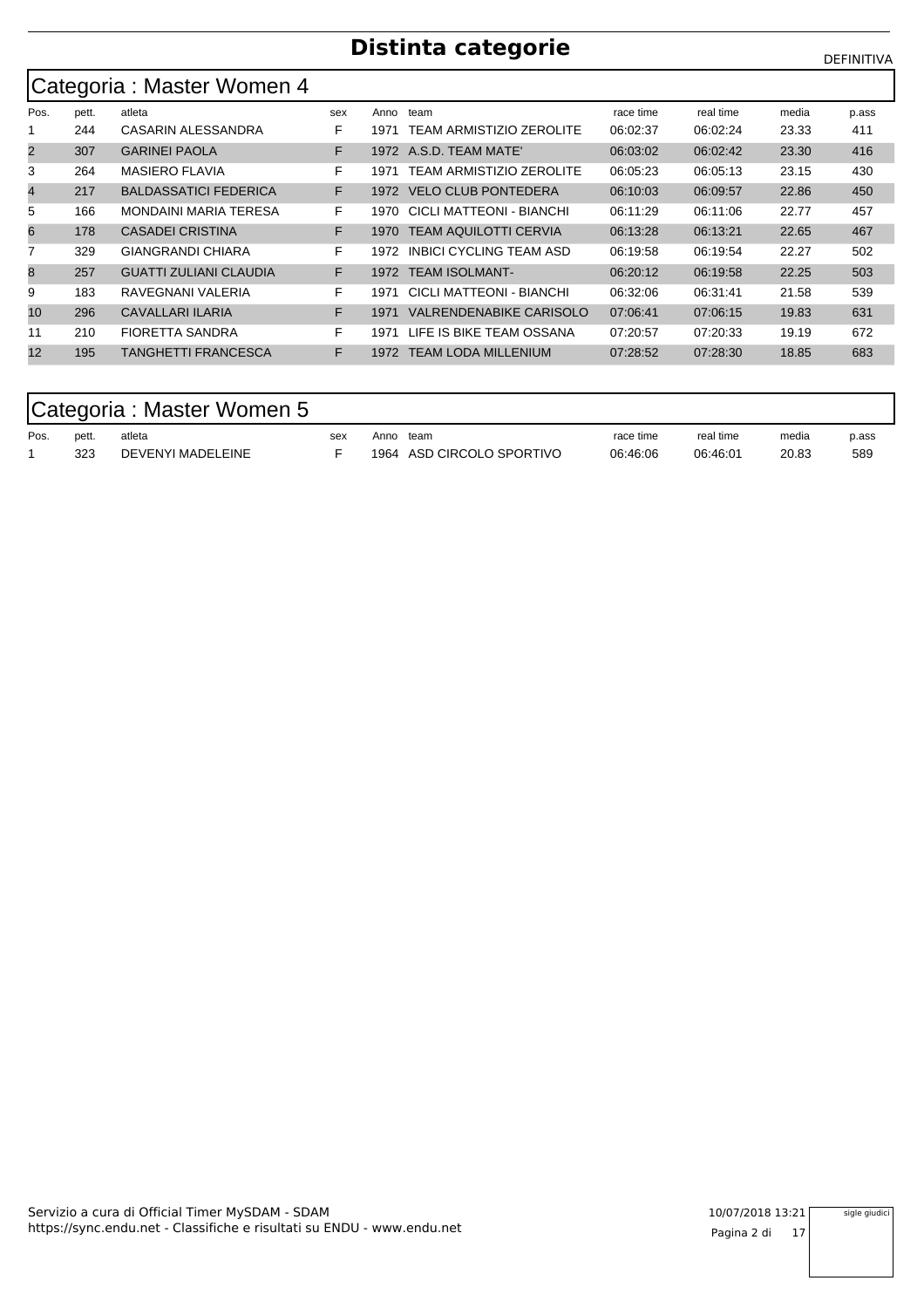#### **Distinta categorie** Distintation of the DEFINITIVA

|                | Categoria: Master Women 4 |                               |     |      |                                 |           |           |       |       |  |  |  |  |
|----------------|---------------------------|-------------------------------|-----|------|---------------------------------|-----------|-----------|-------|-------|--|--|--|--|
| Pos.           | pett.                     | atleta                        | sex | Anno | team                            | race time | real time | media | p.ass |  |  |  |  |
|                | 244                       | CASARIN ALESSANDRA            | F   | 1971 | <b>TEAM ARMISTIZIO ZEROLITE</b> | 06:02:37  | 06:02:24  | 23.33 | 411   |  |  |  |  |
| $\overline{2}$ | 307                       | <b>GARINEI PAOLA</b>          | F   |      | 1972 A.S.D. TEAM MATE'          | 06:03:02  | 06:02:42  | 23.30 | 416   |  |  |  |  |
| 3              | 264                       | <b>MASIERO FLAVIA</b>         | F.  | 1971 | TEAM ARMISTIZIO ZEROLITE        | 06:05:23  | 06:05:13  | 23.15 | 430   |  |  |  |  |
| 4              | 217                       | <b>BALDASSATICI FEDERICA</b>  | F   | 1972 | <b>VELO CLUB PONTEDERA</b>      | 06:10:03  | 06:09:57  | 22.86 | 450   |  |  |  |  |
| 5              | 166                       | MONDAINI MARIA TERESA         | F   | 1970 | CICLI MATTEONI - BIANCHI        | 06:11:29  | 06:11:06  | 22.77 | 457   |  |  |  |  |
| 6              | 178                       | <b>CASADEI CRISTINA</b>       | F.  | 1970 | <b>TEAM AQUILOTTI CERVIA</b>    | 06:13:28  | 06:13:21  | 22.65 | 467   |  |  |  |  |
|                | 329                       | <b>GIANGRANDI CHIARA</b>      | F.  | 1972 | <b>INBICI CYCLING TEAM ASD</b>  | 06:19:58  | 06:19:54  | 22.27 | 502   |  |  |  |  |
| 8              | 257                       | <b>GUATTI ZULIANI CLAUDIA</b> | F   |      | 1972 TEAM ISOLMANT-             | 06:20:12  | 06:19:58  | 22.25 | 503   |  |  |  |  |
| 9              | 183                       | RAVEGNANI VALERIA             | F.  | 1971 | CICLI MATTEONI - BIANCHI        | 06:32:06  | 06:31:41  | 21.58 | 539   |  |  |  |  |
| 10             | 296                       | CAVALLARI ILARIA              | F   | 1971 | VALRENDENABIKE CARISOLO         | 07:06:41  | 07:06:15  | 19.83 | 631   |  |  |  |  |
| 11             | 210                       | <b>FIORETTA SANDRA</b>        | F   | 1971 | LIFE IS BIKE TEAM OSSANA        | 07:20:57  | 07:20:33  | 19.19 | 672   |  |  |  |  |
| 12             | 195                       | <b>TANGHETTI FRANCESCA</b>    | F   |      | 1972 TEAM LODA MILLENIUM        | 07:28:52  | 07:28:30  | 18.85 | 683   |  |  |  |  |

#### Categoria : Master Women 5

| Pos. | pett. | atleta<br>.              | sex<br>$ -$ | Anno | team                      | race time | real time | media | p.ass |
|------|-------|--------------------------|-------------|------|---------------------------|-----------|-----------|-------|-------|
|      | 323   | <b>DEVENYI MADELEINE</b> |             | 1964 | ) CIRCOLO SPORTIVO<br>ASD | 06:46:06  | 06:46:01  | 20.83 | 589   |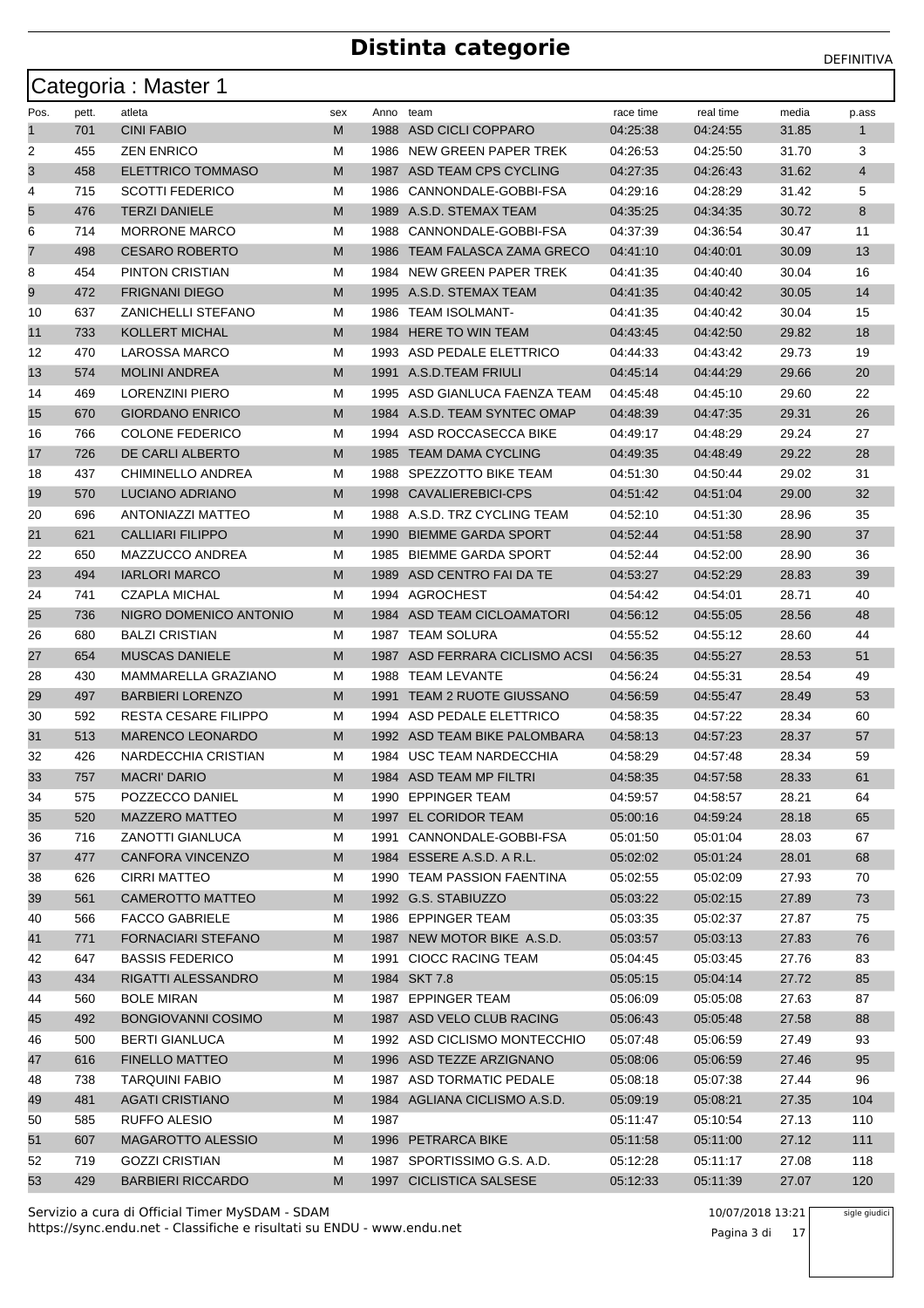|                |       | Categoria: Master 1         |     |      |                              |           |           |       |              |
|----------------|-------|-----------------------------|-----|------|------------------------------|-----------|-----------|-------|--------------|
| Pos.           | pett. | atleta                      | sex |      | Anno team                    | race time | real time | media | p.ass        |
| 1              | 701   | <b>CINI FABIO</b>           | М   | 1988 | ASD CICLI COPPARO            | 04:25:38  | 04:24:55  | 31.85 | $\mathbf{1}$ |
| 2              | 455   | <b>ZEN ENRICO</b>           | М   | 1986 | NEW GREEN PAPER TREK         | 04:26:53  | 04:25:50  | 31.70 | 3            |
| 3              | 458   | ELETTRICO TOMMASO           | М   | 1987 | ASD TEAM CPS CYCLING         | 04:27:35  | 04:26:43  | 31.62 | 4            |
| 4              | 715   | <b>SCOTTI FEDERICO</b>      | М   | 1986 | CANNONDALE-GOBBI-FSA         | 04:29:16  | 04:28:29  | 31.42 | 5            |
| 5              | 476   | <b>TERZI DANIELE</b>        | M   | 1989 | A.S.D. STEMAX TEAM           | 04:35:25  | 04:34:35  | 30.72 | 8            |
| 6              | 714   | <b>MORRONE MARCO</b>        | М   | 1988 | CANNONDALE-GOBBI-FSA         | 04:37:39  | 04:36:54  | 30.47 | 11           |
| $\overline{7}$ | 498   | <b>CESARO ROBERTO</b>       | М   | 1986 | TEAM FALASCA ZAMA GRECO      | 04:41:10  | 04:40:01  | 30.09 | 13           |
| 8              | 454   | PINTON CRISTIAN             | М   |      | 1984 NEW GREEN PAPER TREK    | 04:41:35  | 04:40:40  | 30.04 | 16           |
| 9              | 472   | <b>FRIGNANI DIEGO</b>       | M   |      | 1995 A.S.D. STEMAX TEAM      | 04:41:35  | 04:40:42  | 30.05 | 14           |
| 10             | 637   | ZANICHELLI STEFANO          | м   |      | 1986 TEAM ISOLMANT-          | 04:41:35  | 04:40:42  | 30.04 | 15           |
| 11             | 733   | <b>KOLLERT MICHAL</b>       | M   | 1984 | <b>HERE TO WIN TEAM</b>      | 04:43:45  | 04:42:50  | 29.82 | 18           |
| 12             | 470   | <b>LAROSSA MARCO</b>        | м   |      | 1993 ASD PEDALE ELETTRICO    | 04:44:33  | 04:43:42  | 29.73 | 19           |
| 13             | 574   | <b>MOLINI ANDREA</b>        | М   |      | 1991 A.S.D.TEAM FRIULI       | 04:45:14  | 04:44:29  | 29.66 | 20           |
| 14             | 469   | LORENZINI PIERO             | М   | 1995 | ASD GIANLUCA FAENZA TEAM     | 04:45:48  | 04:45:10  | 29.60 | 22           |
| 15             | 670   | <b>GIORDANO ENRICO</b>      | М   |      | 1984 A.S.D. TEAM SYNTEC OMAP | 04:48:39  | 04:47:35  | 29.31 | 26           |
| 16             | 766   | <b>COLONE FEDERICO</b>      | М   |      | 1994 ASD ROCCASECCA BIKE     | 04:49:17  | 04:48:29  | 29.24 | 27           |
| 17             | 726   | DE CARLI ALBERTO            | M   | 1985 | <b>TEAM DAMA CYCLING</b>     | 04:49:35  | 04:48:49  | 29.22 | 28           |
| 18             | 437   | <b>CHIMINELLO ANDREA</b>    | м   |      | 1988 SPEZZOTTO BIKE TEAM     | 04:51:30  | 04:50:44  | 29.02 | 31           |
| 19             | 570   | LUCIANO ADRIANO             | М   | 1998 | <b>CAVALIEREBICI-CPS</b>     | 04:51:42  | 04:51:04  | 29.00 | 32           |
| 20             | 696   | <b>ANTONIAZZI MATTEO</b>    | м   |      | 1988 A.S.D. TRZ CYCLING TEAM | 04:52:10  | 04:51:30  | 28.96 | 35           |
| 21             | 621   | <b>CALLIARI FILIPPO</b>     | М   | 1990 | <b>BIEMME GARDA SPORT</b>    | 04.52:44  | 04:51:58  | 28.90 | 37           |
| 22             | 650   | MAZZUCCO ANDREA             | м   | 1985 | <b>BIEMME GARDA SPORT</b>    | 04:52:44  | 04:52:00  | 28.90 | 36           |
| 23             | 494   | <b>IARLORI MARCO</b>        | M   | 1989 | ASD CENTRO FAI DA TE         | 04:53:27  | 04:52:29  | 28.83 | 39           |
| 24             | 741   | <b>CZAPLA MICHAL</b>        | м   |      | 1994 AGROCHEST               | 04:54:42  | 04:54:01  | 28.71 | 40           |
| 25             | 736   | NIGRO DOMENICO ANTONIO      | М   |      | 1984 ASD TEAM CICLOAMATORI   | 04:56:12  | 04:55:05  | 28.56 | 48           |
| 26             | 680   | <b>BALZI CRISTIAN</b>       | М   | 1987 | <b>TEAM SOLURA</b>           | 04.55.52  | 04:55:12  | 28.60 | 44           |
| 27             | 654   | <b>MUSCAS DANIELE</b>       | М   | 1987 | ASD FERRARA CICLISMO ACSI    | 04:56:35  | 04:55:27  | 28.53 | 51           |
| 28             | 430   | MAMMARELLA GRAZIANO         | М   | 1988 | <b>TEAM LEVANTE</b>          | 04:56:24  | 04:55:31  | 28.54 | 49           |
| 29             | 497   | <b>BARBIERI LORENZO</b>     | M   | 1991 | <b>TEAM 2 RUOTE GIUSSANO</b> | 04:56:59  | 04:55:47  | 28.49 | 53           |
| 30             | 592   | <b>RESTA CESARE FILIPPO</b> | м   |      | 1994 ASD PEDALE ELETTRICO    | 04:58:35  | 04:57:22  | 28.34 | 60           |
| 31             | 513   | <b>MARENCO LEONARDO</b>     | М   |      | 1992 ASD TEAM BIKE PALOMBARA | 04:58:13  | 04:57:23  | 28.37 | 57           |
| 32             | 426   | NARDECCHIA CRISTIAN         | м   |      | 1984 USC TEAM NARDECCHIA     | 04:58:29  | 04:57:48  | 28.34 | 59           |
| 33             | 757   | <b>MACRI' DARIO</b>         | М   |      | 1984 ASD TEAM MP FILTRI      | 04:58:35  | 04:57:58  | 28.33 | 61           |
| 34             | 575   | POZZECCO DANIEL             | М   |      | 1990 EPPINGER TEAM           | 04:59:57  | 04:58:57  | 28.21 | 64           |
| 35             | 520   | MAZZERO MATTEO              | M   |      | 1997 EL CORIDOR TEAM         | 05:00:16  | 04:59:24  | 28.18 | 65           |
| 36             | 716   | ZANOTTI GIANLUCA            | М   |      | 1991 CANNONDALE-GOBBI-FSA    | 05:01:50  | 05:01:04  | 28.03 | 67           |
| 37             | 477   | CANFORA VINCENZO            | M   |      | 1984 ESSERE A.S.D. A R.L.    | 05:02:02  | 05:01:24  | 28.01 | 68           |
| 38             | 626   | <b>CIRRI MATTEO</b>         | М   |      | 1990 TEAM PASSION FAENTINA   | 05:02:55  | 05:02:09  | 27.93 | 70           |
| 39             | 561   | CAMEROTTO MATTEO            | M   |      | 1992 G.S. STABIUZZO          | 05:03:22  | 05:02:15  | 27.89 | 73           |
| 40             | 566   | <b>FACCO GABRIELE</b>       | М   |      | 1986 EPPINGER TEAM           | 05:03:35  | 05:02:37  | 27.87 | 75           |
| 41             | 771   | <b>FORNACIARI STEFANO</b>   | M   |      | 1987 NEW MOTOR BIKE A.S.D.   | 05:03:57  | 05:03:13  | 27.83 | 76           |
| 42             | 647   | <b>BASSIS FEDERICO</b>      | М   |      | 1991 CIOCC RACING TEAM       | 05:04:45  | 05:03:45  | 27.76 | 83           |
| 43             | 434   | RIGATTI ALESSANDRO          | M   |      | 1984 SKT 7.8                 | 05:05:15  | 05:04:14  | 27.72 | 85           |
| 44             | 560   | <b>BOLE MIRAN</b>           | М   |      | 1987 EPPINGER TEAM           | 05:06:09  | 05:05:08  | 27.63 | 87           |
| 45             | 492   | <b>BONGIOVANNI COSIMO</b>   | M   |      | 1987 ASD VELO CLUB RACING    | 05:06:43  | 05:05:48  | 27.58 | 88           |
| 46             | 500   | <b>BERTI GIANLUCA</b>       | М   |      | 1992 ASD CICLISMO MONTECCHIO | 05:07:48  | 05:06:59  | 27.49 | 93           |
| 47             | 616   | <b>FINELLO MATTEO</b>       | M   |      | 1996 ASD TEZZE ARZIGNANO     | 05:08:06  | 05:06:59  | 27.46 | 95           |
| 48             | 738   | <b>TARQUINI FABIO</b>       | М   |      | 1987 ASD TORMATIC PEDALE     | 05:08:18  | 05:07:38  | 27.44 | 96           |
| 49             | 481   | <b>AGATI CRISTIANO</b>      | M   |      | 1984 AGLIANA CICLISMO A.S.D. | 05:09:19  | 05:08:21  | 27.35 | 104          |
| 50             | 585   | RUFFO ALESIO                | М   | 1987 |                              | 05:11:47  | 05:10:54  | 27.13 | 110          |
| 51             | 607   | <b>MAGAROTTO ALESSIO</b>    | M   |      | 1996 PETRARCA BIKE           | 05:11:58  | 05:11:00  | 27.12 | 111          |
| 52             | 719   | <b>GOZZI CRISTIAN</b>       | М   |      | 1987 SPORTISSIMO G.S. A.D.   | 05:12:28  | 05:11:17  | 27.08 | 118          |
| 53             | 429   | <b>BARBIERI RICCARDO</b>    | М   |      | 1997 CICLISTICA SALSESE      | 05:12:33  | 05:11:39  | 27.07 | 120          |

https://sync.endu.net - Classifiche e risultati su ENDU - www.endu.net Servizio a cura di Official Timer MySDAM - SDAM 10/07/2018 13:21

#### sigle giudici

Pagina 3 di 17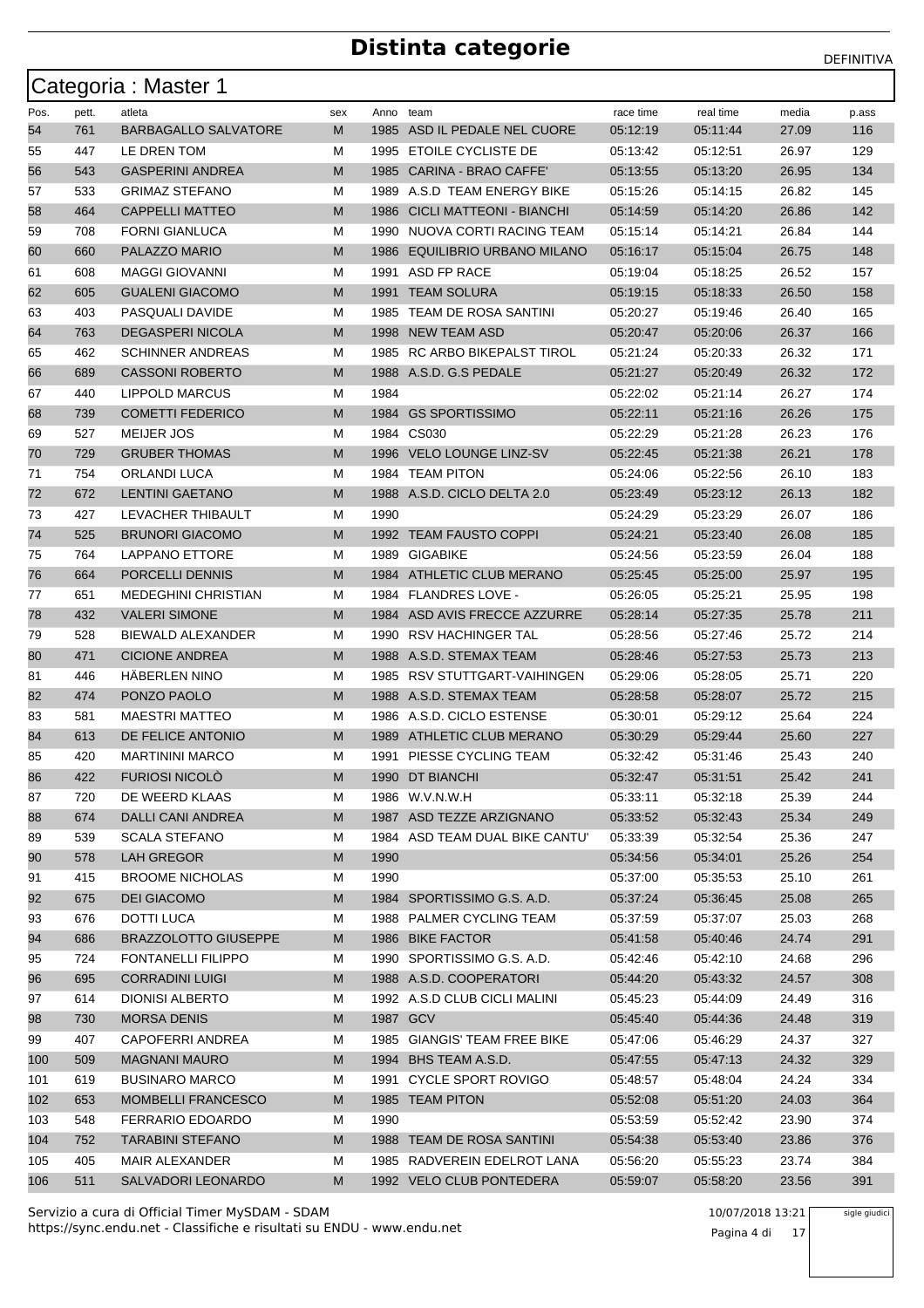|      |       | Categoria: Master 1         |     |           |                                 |           |           |       |       |
|------|-------|-----------------------------|-----|-----------|---------------------------------|-----------|-----------|-------|-------|
| Pos. | pett. | atleta                      | sex | Anno team |                                 | race time | real time | media | p.ass |
| 54   | 761   | <b>BARBAGALLO SALVATORE</b> | M   |           | 1985 ASD IL PEDALE NEL CUORE    | 05:12:19  | 05:11:44  | 27.09 | 116   |
| 55   | 447   | LE DREN TOM                 | м   |           | 1995 ETOILE CYCLISTE DE         | 05:13:42  | 05:12:51  | 26.97 | 129   |
| 56   | 543   | <b>GASPERINI ANDREA</b>     | M   | 1985      | CARINA - BRAO CAFFE'            | 05:13:55  | 05:13:20  | 26.95 | 134   |
| 57   | 533   | <b>GRIMAZ STEFANO</b>       | м   | 1989      | A.S.D TEAM ENERGY BIKE          | 05:15:26  | 05:14:15  | 26.82 | 145   |
| 58   | 464   | <b>CAPPELLI MATTEO</b>      | M   | 1986      | <b>CICLI MATTEONI - BIANCHI</b> | 05:14:59  | 05:14:20  | 26.86 | 142   |
| 59   | 708   | <b>FORNI GIANLUCA</b>       | м   | 1990      | NUOVA CORTI RACING TEAM         | 05:15:14  | 05:14:21  | 26.84 | 144   |
| 60   | 660   | PALAZZO MARIO               | M   | 1986      | <b>EQUILIBRIO URBANO MILANO</b> | 05:16:17  | 05:15:04  | 26.75 | 148   |
| 61   | 608   | <b>MAGGI GIOVANNI</b>       | м   |           | 1991 ASD FP RACE                | 05:19:04  | 05:18:25  | 26.52 | 157   |
| 62   | 605   | <b>GUALENI GIACOMO</b>      | M   |           | 1991 TEAM SOLURA                | 05:19:15  | 05:18:33  | 26.50 | 158   |
| 63   | 403   | PASQUALI DAVIDE             | М   |           | 1985 TEAM DE ROSA SANTINI       | 05:20:27  | 05:19:46  | 26.40 | 165   |
| 64   | 763   | <b>DEGASPERI NICOLA</b>     | M   |           | 1998 NEW TEAM ASD               | 05:20:47  | 05:20:06  | 26.37 | 166   |
| 65   | 462   | <b>SCHINNER ANDREAS</b>     | М   | 1985      | RC ARBO BIKEPALST TIROL         | 05:21:24  | 05:20:33  | 26.32 | 171   |
| 66   | 689   | <b>CASSONI ROBERTO</b>      | M   |           | 1988 A.S.D. G.S PEDALE          | 05:21:27  | 05:20:49  | 26.32 | 172   |
| 67   | 440   | LIPPOLD MARCUS              | м   | 1984      |                                 | 05:22:02  | 05:21:14  | 26.27 | 174   |
| 68   | 739   | <b>COMETTI FEDERICO</b>     | M   |           | 1984 GS SPORTISSIMO             | 05:22:11  | 05:21:16  | 26.26 | 175   |
| 69   | 527   | <b>MEIJER JOS</b>           | м   |           | 1984 CS030                      | 05:22:29  | 05:21:28  | 26.23 | 176   |
| 70   | 729   | <b>GRUBER THOMAS</b>        | M   |           | 1996 VELO LOUNGE LINZ-SV        | 05:22:45  | 05:21:38  | 26.21 | 178   |
| 71   | 754   | <b>ORLANDI LUCA</b>         | М   |           | 1984 TEAM PITON                 | 05:24:06  | 05:22:56  | 26.10 | 183   |
| 72   | 672   | <b>LENTINI GAETANO</b>      | M   |           | 1988 A.S.D. CICLO DELTA 2.0     | 05:23:49  | 05:23:12  | 26.13 | 182   |
| 73   | 427   | LEVACHER THIBAULT           | м   | 1990      |                                 | 05:24:29  | 05:23:29  | 26.07 | 186   |
| 74   | 525   | <b>BRUNORI GIACOMO</b>      | M   |           | 1992 TEAM FAUSTO COPPI          | 05:24:21  | 05:23:40  | 26.08 | 185   |
| 75   | 764   | LAPPANO ETTORE              | М   | 1989      | GIGABIKE                        | 05:24:56  | 05:23:59  | 26.04 | 188   |
| 76   | 664   | PORCELLI DENNIS             | M   |           | 1984 ATHLETIC CLUB MERANO       | 05:25:45  | 05:25:00  | 25.97 | 195   |
| 77   | 651   | <b>MEDEGHINI CHRISTIAN</b>  | М   |           | 1984 FLANDRES LOVE -            | 05:26:05  | 05:25:21  | 25.95 | 198   |
| 78   | 432   | <b>VALERI SIMONE</b>        | M   |           | 1984 ASD AVIS FRECCE AZZURRE    | 05:28:14  | 05:27:35  | 25.78 | 211   |
| 79   | 528   | BIEWALD ALEXANDER           | м   |           | 1990 RSV HACHINGER TAL          | 05:28:56  | 05:27:46  | 25.72 | 214   |
| 80   | 471   | <b>CICIONE ANDREA</b>       | M   |           | 1988 A.S.D. STEMAX TEAM         | 05:28:46  | 05:27:53  | 25.73 | 213   |
| 81   | 446   | <b>HABERLEN NINO</b>        | м   |           | 1985 RSV STUTTGART-VAIHINGEN    | 05:29:06  | 05:28:05  | 25.71 | 220   |
| 82   | 474   | PONZO PAOLO                 | M   |           | 1988 A.S.D. STEMAX TEAM         | 05:28:58  | 05:28:07  | 25.72 | 215   |
| 83   | 581   | <b>MAESTRI MATTEO</b>       | м   |           | 1986 A.S.D. CICLO ESTENSE       | 05:30:01  | 05:29:12  | 25.64 | 224   |
| 84   | 613   | DE FELICE ANTONIO           | M   | 1989      | ATHLETIC CLUB MERANO            | 05:30:29  | 05:29:44  | 25.60 | 227   |
| 85   | 420   | <b>MARTININI MARCO</b>      | м   |           | 1991 PIESSE CYCLING TEAM        | 05:32:42  | 05:31:46  | 25.43 | 240   |
| 86   | 422   | FURIOSI NICOLÒ              | M   |           | 1990 DT BIANCHI                 | 05:32:47  | 05:31:51  | 25.42 | 241   |
| 87   | 720   | DE WEERD KLAAS              | м   |           | 1986 W.V.N.W.H                  | 05:33:11  | 05:32:18  | 25.39 | 244   |
| 88   | 674   | DALLI CANI ANDREA           | M   |           | 1987 ASD TEZZE ARZIGNANO        | 05:33:52  | 05:32:43  | 25.34 | 249   |
| 89   | 539   | <b>SCALA STEFANO</b>        | М   |           | 1984 ASD TEAM DUAL BIKE CANTU'  | 05:33:39  | 05:32:54  | 25.36 | 247   |
| 90   | 578   | LAH GREGOR                  | M   | 1990      |                                 | 05:34:56  | 05:34:01  | 25.26 | 254   |
| 91   | 415   | <b>BROOME NICHOLAS</b>      | M   | 1990      |                                 | 05:37:00  | 05:35:53  | 25.10 | 261   |
| 92   | 675   | <b>DEI GIACOMO</b>          | M   |           | 1984 SPORTISSIMO G.S. A.D.      | 05:37:24  | 05:36:45  | 25.08 | 265   |
| 93   | 676   | DOTTI LUCA                  | M   |           | 1988 PALMER CYCLING TEAM        | 05:37:59  | 05:37:07  | 25.03 | 268   |
| 94   | 686   | <b>BRAZZOLOTTO GIUSEPPE</b> | M   |           | 1986 BIKE FACTOR                | 05:41:58  | 05:40:46  | 24.74 | 291   |
| 95   | 724   | <b>FONTANELLI FILIPPO</b>   | М   |           | 1990 SPORTISSIMO G.S. A.D.      | 05:42:46  | 05:42:10  | 24.68 | 296   |
| 96   | 695   | <b>CORRADINI LUIGI</b>      | M   |           | 1988 A.S.D. COOPERATORI         | 05:44:20  | 05:43:32  | 24.57 | 308   |
| 97   | 614   | DIONISI ALBERTO             | м   |           | 1992 A.S.D CLUB CICLI MALINI    | 05:45:23  | 05:44:09  | 24.49 | 316   |
| 98   | 730   | <b>MORSA DENIS</b>          | M   |           | 1987 GCV                        | 05:45:40  | 05:44:36  | 24.48 | 319   |
| 99   | 407   | CAPOFERRI ANDREA            | м   |           | 1985 GIANGIS' TEAM FREE BIKE    | 05:47:06  | 05:46:29  | 24.37 | 327   |
| 100  | 509   | <b>MAGNANI MAURO</b>        | M   |           | 1994 BHS TEAM A.S.D.            | 05:47:55  | 05:47:13  | 24.32 | 329   |
| 101  | 619   | <b>BUSINARO MARCO</b>       | М   | 1991      | <b>CYCLE SPORT ROVIGO</b>       | 05:48:57  | 05:48:04  | 24.24 | 334   |
| 102  | 653   | <b>MOMBELLI FRANCESCO</b>   | M   |           | 1985 TEAM PITON                 | 05:52:08  | 05:51:20  | 24.03 | 364   |
| 103  | 548   | FERRARIO EDOARDO            | м   | 1990      |                                 | 05:53:59  | 05:52:42  | 23.90 | 374   |
| 104  | 752   | <b>TARABINI STEFANO</b>     | M   |           | 1988 TEAM DE ROSA SANTINI       | 05:54:38  | 05:53:40  | 23.86 | 376   |
| 105  | 405   | MAIR ALEXANDER              | м   |           | 1985 RADVEREIN EDELROT LANA     | 05:56:20  | 05:55:23  | 23.74 | 384   |
| 106  | 511   | SALVADORI LEONARDO          | M   |           | 1992 VELO CLUB PONTEDERA        | 05:59:07  | 05:58:20  | 23.56 | 391   |

https://sync.endu.net - Classifiche e risultati su ENDU - www.endu.net Servizio a cura di Official Timer MySDAM - SDAM 10/07/2018 13:21

Pagina 4 di 17

sigle giudici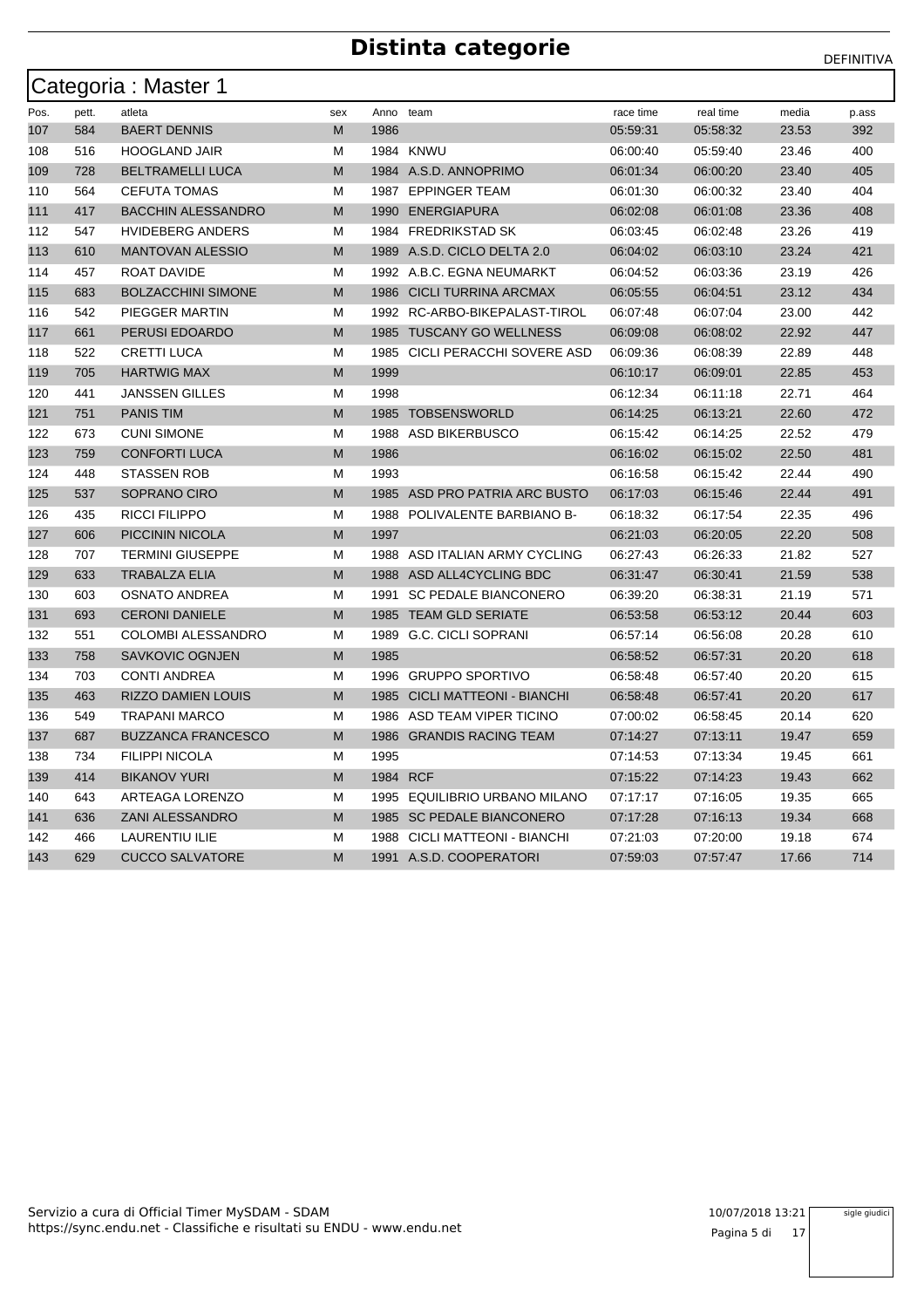| Categoria: Master 1 |       |                           |     |           |                                 |           |           |       |       |  |  |
|---------------------|-------|---------------------------|-----|-----------|---------------------------------|-----------|-----------|-------|-------|--|--|
| Pos.                | pett. | atleta                    | sex | Anno team |                                 | race time | real time | media | p.ass |  |  |
| 107                 | 584   | <b>BAERT DENNIS</b>       | M   | 1986      |                                 | 05:59:31  | 05:58:32  | 23.53 | 392   |  |  |
| 108                 | 516   | <b>HOOGLAND JAIR</b>      | М   |           | <b>1984 KNWU</b>                | 06:00:40  | 05:59:40  | 23.46 | 400   |  |  |
| 109                 | 728   | <b>BELTRAMELLI LUCA</b>   | M   |           | 1984 A.S.D. ANNOPRIMO           | 06:01:34  | 06:00:20  | 23.40 | 405   |  |  |
| 110                 | 564   | <b>CEFUTA TOMAS</b>       | М   |           | 1987 EPPINGER TEAM              | 06:01:30  | 06:00:32  | 23.40 | 404   |  |  |
| 111                 | 417   | <b>BACCHIN ALESSANDRO</b> | M   | 1990      | ENERGIAPURA                     | 06:02:08  | 06:01:08  | 23.36 | 408   |  |  |
| 112                 | 547   | <b>HVIDEBERG ANDERS</b>   | М   |           | 1984 FREDRIKSTAD SK             | 06:03:45  | 06:02:48  | 23.26 | 419   |  |  |
| 113                 | 610   | <b>MANTOVAN ALESSIO</b>   | M   |           | 1989 A.S.D. CICLO DELTA 2.0     | 06:04:02  | 06:03:10  | 23.24 | 421   |  |  |
| 114                 | 457   | ROAT DAVIDE               | М   |           | 1992 A.B.C. EGNA NEUMARKT       | 06:04:52  | 06:03:36  | 23.19 | 426   |  |  |
| 115                 | 683   | <b>BOLZACCHINI SIMONE</b> | M   |           | 1986 CICLI TURRINA ARCMAX       | 06:05:55  | 06:04:51  | 23.12 | 434   |  |  |
| 116                 | 542   | PIEGGER MARTIN            | м   |           | 1992 RC-ARBO-BIKEPALAST-TIROL   | 06:07:48  | 06:07:04  | 23.00 | 442   |  |  |
| 117                 | 661   | PERUSI EDOARDO            | M   | 1985      | <b>TUSCANY GO WELLNESS</b>      | 06:09:08  | 06:08:02  | 22.92 | 447   |  |  |
| 118                 | 522   | <b>CRETTI LUCA</b>        | М   | 1985      | CICLI PERACCHI SOVERE ASD       | 06:09:36  | 06:08:39  | 22.89 | 448   |  |  |
| 119                 | 705   | <b>HARTWIG MAX</b>        | M   | 1999      |                                 | 06:10:17  | 06:09:01  | 22.85 | 453   |  |  |
| 120                 | 441   | <b>JANSSEN GILLES</b>     | м   | 1998      |                                 | 06:12:34  | 06:11:18  | 22.71 | 464   |  |  |
| 121                 | 751   | <b>PANIS TIM</b>          | M   |           | 1985 TOBSENSWORLD               | 06:14:25  | 06:13:21  | 22.60 | 472   |  |  |
| 122                 | 673   | <b>CUNI SIMONE</b>        | М   |           | 1988 ASD BIKERBUSCO             | 06:15:42  | 06:14:25  | 22.52 | 479   |  |  |
| 123                 | 759   | <b>CONFORTI LUCA</b>      | M   | 1986      |                                 | 06:16:02  | 06:15:02  | 22.50 | 481   |  |  |
| 124                 | 448   | <b>STASSEN ROB</b>        | M   | 1993      |                                 | 06:16:58  | 06:15:42  | 22.44 | 490   |  |  |
| 125                 | 537   | SOPRANO CIRO              | M   |           | 1985 ASD PRO PATRIA ARC BUSTO   | 06:17:03  | 06:15:46  | 22.44 | 491   |  |  |
| 126                 | 435   | <b>RICCI FILIPPO</b>      | м   |           | 1988 POLIVALENTE BARBIANO B-    | 06:18:32  | 06:17:54  | 22.35 | 496   |  |  |
| 127                 | 606   | <b>PICCININ NICOLA</b>    | M   | 1997      |                                 | 06:21:03  | 06:20:05  | 22.20 | 508   |  |  |
| 128                 | 707   | <b>TERMINI GIUSEPPE</b>   | м   |           | 1988 ASD ITALIAN ARMY CYCLING   | 06:27:43  | 06:26:33  | 21.82 | 527   |  |  |
| 129                 | 633   | <b>TRABALZA ELIA</b>      | M   |           | 1988 ASD ALL4CYCLING BDC        | 06:31:47  | 06:30:41  | 21.59 | 538   |  |  |
| 130                 | 603   | <b>OSNATO ANDREA</b>      | м   |           | 1991 SC PEDALE BIANCONERO       | 06:39:20  | 06:38:31  | 21.19 | 571   |  |  |
| 131                 | 693   | <b>CERONI DANIELE</b>     | M   |           | 1985 TEAM GLD SERIATE           | 06:53:58  | 06:53:12  | 20.44 | 603   |  |  |
| 132                 | 551   | <b>COLOMBI ALESSANDRO</b> | м   |           | 1989 G.C. CICLI SOPRANI         | 06:57:14  | 06:56:08  | 20.28 | 610   |  |  |
| 133                 | 758   | <b>SAVKOVIC OGNJEN</b>    | M   | 1985      |                                 | 06:58:52  | 06:57:31  | 20.20 | 618   |  |  |
| 134                 | 703   | <b>CONTI ANDREA</b>       | M   | 1996      | <b>GRUPPO SPORTIVO</b>          | 06:58:48  | 06:57:40  | 20.20 | 615   |  |  |
| 135                 | 463   | <b>RIZZO DAMIEN LOUIS</b> | M   | 1985      | <b>CICLI MATTEONI - BIANCHI</b> | 06:58:48  | 06:57:41  | 20.20 | 617   |  |  |
| 136                 | 549   | <b>TRAPANI MARCO</b>      | м   |           | 1986 ASD TEAM VIPER TICINO      | 07:00:02  | 06:58:45  | 20.14 | 620   |  |  |
| 137                 | 687   | <b>BUZZANCA FRANCESCO</b> | M   |           | 1986 GRANDIS RACING TEAM        | 07:14:27  | 07:13:11  | 19.47 | 659   |  |  |
| 138                 | 734   | <b>FILIPPI NICOLA</b>     | М   | 1995      |                                 | 07:14:53  | 07:13:34  | 19.45 | 661   |  |  |
| 139                 | 414   | <b>BIKANOV YURI</b>       | M   |           | 1984 RCF                        | 07:15:22  | 07:14:23  | 19.43 | 662   |  |  |
| 140                 | 643   | ARTEAGA LORENZO           | м   |           | 1995 EQUILIBRIO URBANO MILANO   | 07:17:17  | 07:16:05  | 19.35 | 665   |  |  |
| 141                 | 636   | <b>ZANI ALESSANDRO</b>    | M   |           | 1985 SC PEDALE BIANCONERO       | 07:17:28  | 07:16:13  | 19.34 | 668   |  |  |
| 142                 | 466   | LAURENTIU ILIE            | М   | 1988      | CICLI MATTEONI - BIANCHI        | 07:21:03  | 07:20:00  | 19.18 | 674   |  |  |
| 143                 | 629   | <b>CUCCO SALVATORE</b>    | M   |           | 1991 A.S.D. COOPERATORI         | 07:59:03  | 07:57:47  | 17.66 | 714   |  |  |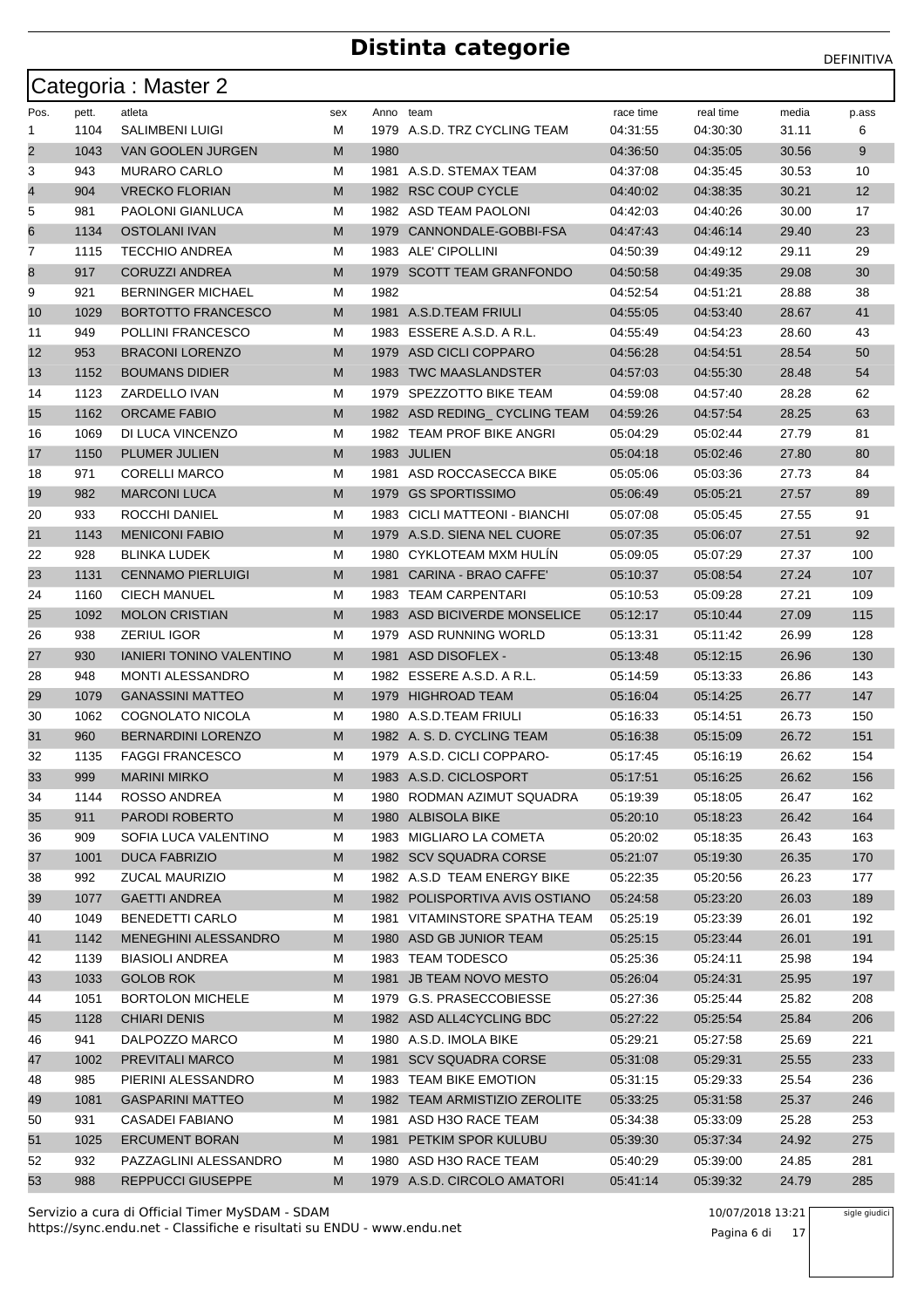|                         |       | Categoria: Master 2             |     |           |                                |           |           |       |                   |
|-------------------------|-------|---------------------------------|-----|-----------|--------------------------------|-----------|-----------|-------|-------------------|
| Pos.                    | pett. | atleta                          | sex | Anno team |                                | race time | real time | media | p.ass             |
| 1                       | 1104  | <b>SALIMBENI LUIGI</b>          | М   |           | 1979 A.S.D. TRZ CYCLING TEAM   | 04:31:55  | 04:30:30  | 31.11 | 6                 |
| $\overline{\mathbf{c}}$ | 1043  | VAN GOOLEN JURGEN               | M   | 1980      |                                | 04:36:50  | 04:35:05  | 30.56 | 9                 |
| 3                       | 943   | <b>MURARO CARLO</b>             | М   |           | 1981 A.S.D. STEMAX TEAM        | 04:37:08  | 04:35:45  | 30.53 | 10                |
| 4                       | 904   | <b>VRECKO FLORIAN</b>           | M   |           | 1982 RSC COUP CYCLE            | 04:40:02  | 04:38:35  | 30.21 | $12 \overline{ }$ |
| 5                       | 981   | PAOLONI GIANLUCA                | М   |           | 1982 ASD TEAM PAOLONI          | 04:42:03  | 04:40:26  | 30.00 | 17                |
| 6                       | 1134  | <b>OSTOLANI IVAN</b>            | M   |           | 1979 CANNONDALE-GOBBI-FSA      | 04:47:43  | 04:46:14  | 29.40 | 23                |
| 7                       | 1115  | <b>TECCHIO ANDREA</b>           | М   |           | 1983 ALE' CIPOLLINI            | 04:50:39  | 04:49:12  | 29.11 | 29                |
| 8                       | 917   | <b>CORUZZI ANDREA</b>           | M   |           | 1979 SCOTT TEAM GRANFONDO      | 04:50:58  | 04:49:35  | 29.08 | 30                |
| 9                       | 921   | <b>BERNINGER MICHAEL</b>        | М   | 1982      |                                | 04:52:54  | 04:51:21  | 28.88 | 38                |
| 10                      | 1029  | <b>BORTOTTO FRANCESCO</b>       | M   |           | 1981 A.S.D.TEAM FRIULI         | 04.55:05  | 04:53:40  | 28.67 | 41                |
| 11                      | 949   | POLLINI FRANCESCO               | М   |           | 1983 ESSERE A.S.D. A R.L.      | 04:55:49  | 04:54:23  | 28.60 | 43                |
| 12                      | 953   | <b>BRACONI LORENZO</b>          | M   |           | 1979 ASD CICLI COPPARO         | 04:56:28  | 04:54:51  | 28.54 | 50                |
| 13                      | 1152  | <b>BOUMANS DIDIER</b>           | M   |           | 1983 TWC MAASLANDSTER          | 04:57:03  | 04:55:30  | 28.48 | 54                |
| 14                      | 1123  | ZARDELLO IVAN                   | М   |           | 1979 SPEZZOTTO BIKE TEAM       | 04:59:08  | 04:57:40  | 28.28 | 62                |
| 15                      | 1162  | <b>ORCAME FABIO</b>             | M   |           | 1982 ASD REDING_CYCLING TEAM   | 04:59:26  | 04:57:54  | 28.25 | 63                |
| 16                      | 1069  | DI LUCA VINCENZO                | М   |           | 1982 TEAM PROF BIKE ANGRI      | 05:04:29  | 05:02:44  | 27.79 | 81                |
| 17                      | 1150  | PLUMER JULIEN                   | M   |           | 1983 JULIEN                    | 05:04:18  | 05:02:46  | 27.80 | 80                |
| 18                      | 971   | <b>CORELLI MARCO</b>            | М   |           | 1981 ASD ROCCASECCA BIKE       | 05:05:06  | 05:03:36  | 27.73 | 84                |
| 19                      | 982   | <b>MARCONI LUCA</b>             | M   |           | 1979 GS SPORTISSIMO            | 05:06:49  | 05:05:21  | 27.57 | 89                |
| 20                      | 933   | ROCCHI DANIEL                   | М   |           | 1983 CICLI MATTEONI - BIANCHI  | 05:07:08  | 05:05:45  | 27.55 | 91                |
| 21                      | 1143  | <b>MENICONI FABIO</b>           | M   |           | 1979 A.S.D. SIENA NEL CUORE    | 05:07:35  | 05:06:07  | 27.51 | 92                |
| 22                      | 928   | <b>BLINKA LUDEK</b>             | М   |           | 1980 CYKLOTEAM MXM HULIN       | 05:09:05  | 05:07:29  | 27.37 | 100               |
| 23                      | 1131  | <b>CENNAMO PIERLUIGI</b>        | M   |           | 1981 CARINA - BRAO CAFFE'      | 05:10:37  | 05:08:54  | 27.24 | 107               |
| 24                      | 1160  | <b>CIECH MANUEL</b>             | М   |           | 1983 TEAM CARPENTARI           | 05:10:53  | 05:09:28  | 27.21 | 109               |
| 25                      | 1092  | <b>MOLON CRISTIAN</b>           | M   |           | 1983 ASD BICIVERDE MONSELICE   | 05:12:17  | 05:10:44  | 27.09 | 115               |
| 26                      | 938   | ZERIUL IGOR                     | М   |           | 1979 ASD RUNNING WORLD         | 05:13:31  | 05:11:42  | 26.99 | 128               |
| 27                      | 930   | <b>IANIERI TONINO VALENTINO</b> | M   |           | 1981 ASD DISOFLEX -            | 05:13:48  | 05:12:15  | 26.96 | 130               |
| 28                      | 948   | <b>MONTI ALESSANDRO</b>         | М   |           | 1982 ESSERE A.S.D. A R.L.      | 05:14:59  | 05:13:33  | 26.86 | 143               |
| 29                      | 1079  | <b>GANASSINI MATTEO</b>         | M   |           | 1979 HIGHROAD TEAM             | 05:16:04  | 05:14:25  | 26.77 | 147               |
| 30                      | 1062  | COGNOLATO NICOLA                | М   |           | 1980 A.S.D.TEAM FRIULI         | 05:16:33  | 05:14:51  | 26.73 | 150               |
| 31                      | 960   | <b>BERNARDINI LORENZO</b>       | M   |           | 1982 A. S. D. CYCLING TEAM     | 05:16:38  | 05:15:09  | 26.72 | 151               |
| 32                      | 1135  | <b>FAGGI FRANCESCO</b>          | М   |           | 1979 A.S.D. CICLI COPPARO-     | 05:17:45  | 05:16:19  | 26.62 | 154               |
| 33                      | 999   | <b>MARINI MIRKO</b>             | M   |           | 1983 A.S.D. CICLOSPORT         | 05:17:51  | 05:16:25  | 26.62 | 156               |
| 34                      | 1144  | ROSSO ANDREA                    | M   |           | 1980 RODMAN AZIMUT SQUADRA     | 05:19:39  | 05:18:05  | 26.47 | 162               |
| 35                      | 911   | PARODI ROBERTO                  | M   |           | 1980 ALBISOLA BIKE             | 05:20:10  | 05:18:23  | 26.42 | 164               |
| 36                      | 909   | SOFIA LUCA VALENTINO            | М   |           | 1983 MIGLIARO LA COMETA        | 05:20:02  | 05:18:35  | 26.43 | 163               |
| 37                      | 1001  | <b>DUCA FABRIZIO</b>            | M   |           | 1982 SCV SQUADRA CORSE         | 05:21:07  | 05:19:30  | 26.35 | 170               |
| 38                      | 992   | ZUCAL MAURIZIO                  | М   |           | 1982 A.S.D TEAM ENERGY BIKE    | 05:22:35  | 05:20:56  | 26.23 | 177               |
| 39                      | 1077  | <b>GAETTI ANDREA</b>            | M   |           | 1982 POLISPORTIVA AVIS OSTIANO | 05:24:58  | 05:23:20  | 26.03 | 189               |
| 40                      | 1049  | BENEDETTI CARLO                 | M   |           | 1981 VITAMINSTORE SPATHA TEAM  | 05:25:19  | 05:23:39  | 26.01 | 192               |
| 41                      | 1142  | MENEGHINI ALESSANDRO            | M   |           | 1980 ASD GB JUNIOR TEAM        | 05:25:15  | 05:23:44  | 26.01 | 191               |
| 42                      | 1139  | <b>BIASIOLI ANDREA</b>          | М   |           | 1983 TEAM TODESCO              | 05:25:36  | 05:24:11  | 25.98 | 194               |
| 43                      | 1033  | <b>GOLOB ROK</b>                | M   |           | 1981 JB TEAM NOVO MESTO        | 05:26:04  | 05:24:31  | 25.95 | 197               |
| 44                      | 1051  | <b>BORTOLON MICHELE</b>         | M   |           | 1979 G.S. PRASECCOBIESSE       | 05:27:36  | 05:25:44  | 25.82 | 208               |
| 45                      | 1128  | <b>CHIARI DENIS</b>             | M   |           | 1982 ASD ALL4CYCLING BDC       | 05:27:22  | 05:25:54  | 25.84 | 206               |
| 46                      | 941   | DALPOZZO MARCO                  | M   |           | 1980 A.S.D. IMOLA BIKE         | 05:29:21  | 05:27:58  | 25.69 | 221               |
| 47                      | 1002  | PREVITALI MARCO                 | M   |           | 1981 SCV SQUADRA CORSE         | 05:31:08  | 05:29:31  | 25.55 | 233               |
| 48                      | 985   | PIERINI ALESSANDRO              | М   |           | 1983 TEAM BIKE EMOTION         | 05:31:15  | 05:29:33  | 25.54 | 236               |
| 49                      | 1081  | <b>GASPARINI MATTEO</b>         | M   |           | 1982 TEAM ARMISTIZIO ZEROLITE  | 05:33:25  | 05:31:58  | 25.37 | 246               |
| 50                      | 931   | CASADEI FABIANO                 | M   |           | 1981 ASD H3O RACE TEAM         | 05:34:38  | 05:33:09  | 25.28 | 253               |
| 51                      | 1025  | <b>ERCUMENT BORAN</b>           | M   |           | 1981 PETKIM SPOR KULUBU        | 05:39:30  | 05:37:34  | 24.92 | 275               |
| 52                      | 932   | PAZZAGLINI ALESSANDRO           | М   |           | 1980 ASD H3O RACE TEAM         | 05:40:29  | 05:39:00  | 24.85 | 281               |
| 53                      | 988   | <b>REPPUCCI GIUSEPPE</b>        | M   |           | 1979 A.S.D. CIRCOLO AMATORI    | 05:41:14  | 05:39:32  | 24.79 | 285               |

https://sync.endu.net - Classifiche e risultati su ENDU - www.endu.net Servizio a cura di Official Timer MySDAM - SDAM 10/07/2018 13:21

Pagina 6 di 17

sigle giudici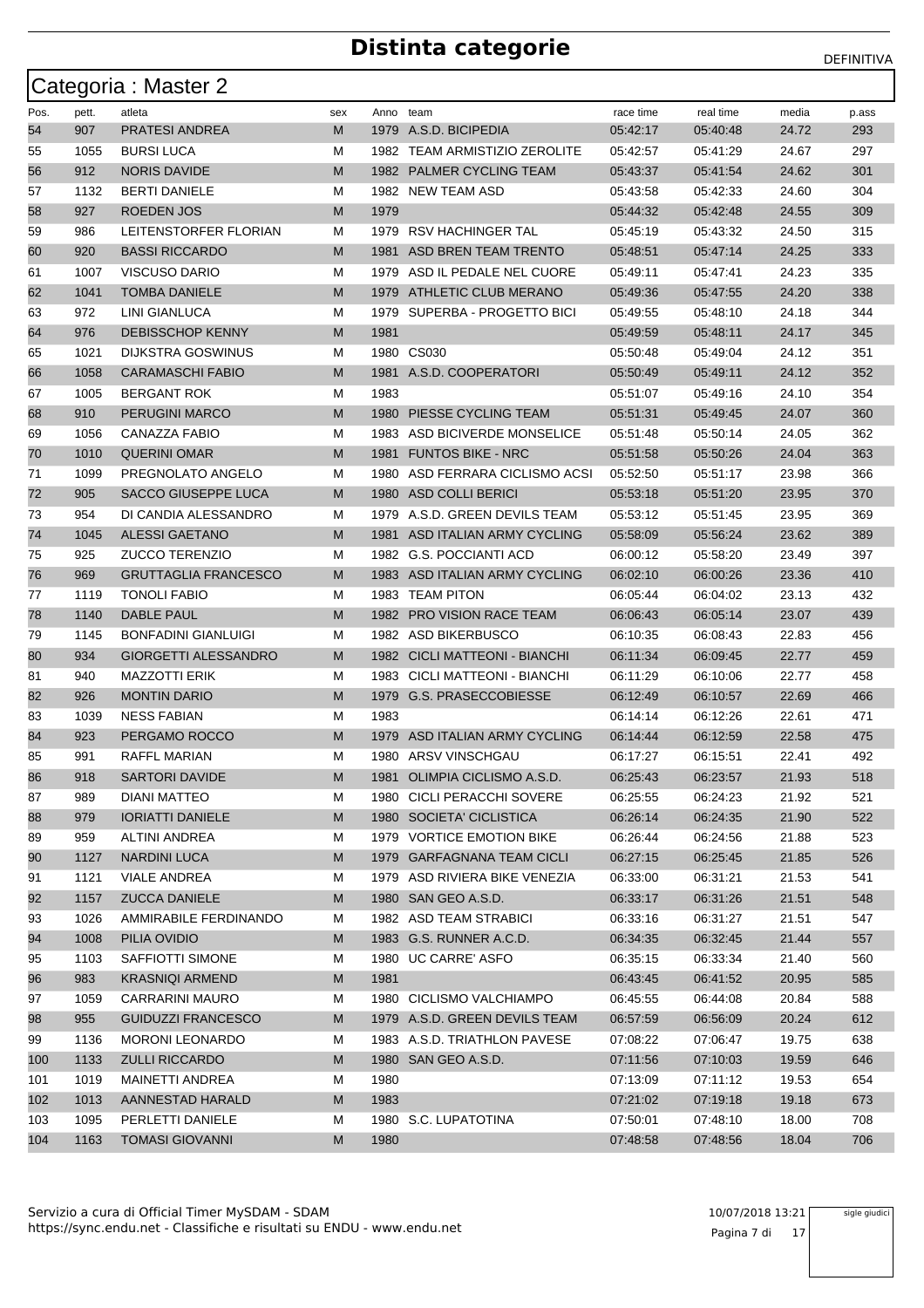|      |       | Categoria : Master 2        |     |           |                               |           |           |       |       |
|------|-------|-----------------------------|-----|-----------|-------------------------------|-----------|-----------|-------|-------|
| Pos. | pett. | atleta                      | sex | Anno team |                               | race time | real time | media | p.ass |
| 54   | 907   | <b>PRATESI ANDREA</b>       | M   |           | 1979 A.S.D. BICIPEDIA         | 05:42:17  | 05:40:48  | 24.72 | 293   |
| 55   | 1055  | <b>BURSI LUCA</b>           | м   |           | 1982 TEAM ARMISTIZIO ZEROLITE | 05:42:57  | 05:41:29  | 24.67 | 297   |
| 56   | 912   | <b>NORIS DAVIDE</b>         | M   |           | 1982 PALMER CYCLING TEAM      | 05:43:37  | 05:41:54  | 24.62 | 301   |
| 57   | 1132  | <b>BERTI DANIELE</b>        | м   |           | 1982 NEW TEAM ASD             | 05:43:58  | 05:42:33  | 24.60 | 304   |
| 58   | 927   | <b>ROEDEN JOS</b>           | M   | 1979      |                               | 05:44:32  | 05:42:48  | 24.55 | 309   |
| 59   | 986   | LEITENSTORFER FLORIAN       | М   | 1979      | RSV HACHINGER TAL             | 05:45:19  | 05:43:32  | 24.50 | 315   |
| 60   | 920   | <b>BASSI RICCARDO</b>       | M   | 1981      | ASD BREN TEAM TRENTO          | 05:48:51  | 05:47:14  | 24.25 | 333   |
| 61   | 1007  | VISCUSO DARIO               | м   |           | 1979 ASD IL PEDALE NEL CUORE  | 05:49:11  | 05:47:41  | 24.23 | 335   |
| 62   | 1041  | <b>TOMBA DANIELE</b>        | M   | 1979      | ATHLETIC CLUB MERANO          | 05:49:36  | 05:47:55  | 24.20 | 338   |
| 63   | 972   | LINI GIANLUCA               | м   |           | 1979 SUPERBA - PROGETTO BICI  | 05:49:55  | 05:48:10  | 24.18 | 344   |
| 64   | 976   | <b>DEBISSCHOP KENNY</b>     | M   | 1981      |                               | 05:49:59  | 05:48:11  | 24.17 | 345   |
| 65   | 1021  | <b>DIJKSTRA GOSWINUS</b>    | М   |           | 1980 CS030                    | 05:50:48  | 05:49:04  | 24.12 | 351   |
| 66   | 1058  | <b>CARAMASCHI FABIO</b>     | M   |           | 1981 A.S.D. COOPERATORI       | 05:50:49  | 05:49:11  | 24.12 | 352   |
| 67   | 1005  | <b>BERGANT ROK</b>          | м   | 1983      |                               | 05:51:07  | 05:49:16  | 24.10 | 354   |
| 68   | 910   | PERUGINI MARCO              | M   | 1980      | PIESSE CYCLING TEAM           | 05:51:31  | 05:49:45  | 24.07 | 360   |
| 69   | 1056  | CANAZZA FABIO               | м   |           | 1983 ASD BICIVERDE MONSELICE  | 05:51:48  | 05:50:14  | 24.05 | 362   |
| 70   | 1010  | <b>QUERINI OMAR</b>         | M   | 1981      | <b>FUNTOS BIKE - NRC</b>      | 05:51:58  | 05:50:26  | 24.04 | 363   |
| 71   | 1099  | PREGNOLATO ANGELO           | М   | 1980      | ASD FERRARA CICLISMO ACSI     | 05:52:50  | 05:51:17  | 23.98 | 366   |
| 72   | 905   | SACCO GIUSEPPE LUCA         | M   | 1980      | ASD COLLI BERICI              | 05:53:18  | 05:51:20  | 23.95 | 370   |
| 73   | 954   | DI CANDIA ALESSANDRO        | м   |           | 1979 A.S.D. GREEN DEVILS TEAM | 05:53:12  | 05:51:45  | 23.95 | 369   |
| 74   | 1045  | <b>ALESSI GAETANO</b>       | M   | 1981      | ASD ITALIAN ARMY CYCLING      | 05:58:09  | 05.56:24  | 23.62 | 389   |
| 75   | 925   | <b>ZUCCO TERENZIO</b>       | м   |           | 1982 G.S. POCCIANTI ACD       | 06:00:12  | 05:58:20  | 23.49 | 397   |
| 76   | 969   | <b>GRUTTAGLIA FRANCESCO</b> | M   |           | 1983 ASD ITALIAN ARMY CYCLING | 06:02:10  | 06:00:26  | 23.36 | 410   |
| 77   | 1119  | <b>TONOLI FABIO</b>         | М   | 1983      | <b>TEAM PITON</b>             | 06:05:44  | 06:04:02  | 23.13 | 432   |
| 78   | 1140  | <b>DABLE PAUL</b>           | M   |           | 1982 PRO VISION RACE TEAM     | 06:06:43  | 06:05:14  | 23.07 | 439   |
| 79   | 1145  | <b>BONFADINI GIANLUIGI</b>  | м   |           | 1982 ASD BIKERBUSCO           | 06:10:35  | 06:08:43  | 22.83 | 456   |
| 80   | 934   | <b>GIORGETTI ALESSANDRO</b> | M   |           | 1982 CICLI MATTEONI - BIANCHI | 06:11:34  | 06:09:45  | 22.77 | 459   |
| 81   | 940   | <b>MAZZOTTI ERIK</b>        | м   |           | 1983 CICLI MATTEONI - BIANCHI | 06:11:29  | 06:10:06  | 22.77 | 458   |
| 82   | 926   | <b>MONTIN DARIO</b>         | M   |           | 1979 G.S. PRASECCOBIESSE      | 06:12:49  | 06:10:57  | 22.69 | 466   |
| 83   | 1039  | <b>NESS FABIAN</b>          | M   | 1983      |                               | 06:14:14  | 06:12:26  | 22.61 | 471   |
| 84   | 923   | PERGAMO ROCCO               | M   | 1979      | ASD ITALIAN ARMY CYCLING      | 06:14:44  | 06:12:59  | 22.58 | 475   |
| 85   | 991   | <b>RAFFL MARIAN</b>         | М   |           | 1980 ARSV VINSCHGAU           | 06:17:27  | 06:15:51  | 22.41 | 492   |
| 86   | 918   | SARTORI DAVIDE              | M   |           | 1981 OLIMPIA CICLISMO A.S.D.  | 06:25:43  | 06:23:57  | 21.93 | 518   |
| 87   | 989   | DIANI MATTEO                | м   |           | 1980 CICLI PERACCHI SOVERE    | 06:25:55  | 06:24:23  | 21.92 | 521   |
| 88   | 979   | <b>IORIATTI DANIELE</b>     | M   |           | 1980 SOCIETA' CICLISTICA      | 06:26:14  | 06:24:35  | 21.90 | 522   |
| 89   | 959   | <b>ALTINI ANDREA</b>        | M   |           | 1979 VORTICE EMOTION BIKE     | 06:26:44  | 06:24:56  | 21.88 | 523   |
| 90   | 1127  | <b>NARDINI LUCA</b>         | M   |           | 1979 GARFAGNANA TEAM CICLI    | 06:27:15  | 06:25:45  | 21.85 | 526   |
| 91   | 1121  | <b>VIALE ANDREA</b>         | м   |           | 1979 ASD RIVIERA BIKE VENEZIA | 06:33:00  | 06:31:21  | 21.53 | 541   |
| 92   | 1157  | <b>ZUCCA DANIELE</b>        | M   |           | 1980 SAN GEO A.S.D.           | 06:33:17  | 06:31:26  | 21.51 | 548   |
| 93   | 1026  | AMMIRABILE FERDINANDO       | M   |           | 1982 ASD TEAM STRABICI        | 06:33:16  | 06:31:27  | 21.51 | 547   |
| 94   | 1008  | PILIA OVIDIO                | M   |           | 1983 G.S. RUNNER A.C.D.       | 06:34:35  | 06:32:45  | 21.44 | 557   |
| 95   | 1103  | SAFFIOTTI SIMONE            | M   |           | 1980 UC CARRE' ASFO           | 06:35:15  | 06:33:34  | 21.40 | 560   |
| 96   | 983   | <b>KRASNIQI ARMEND</b>      | M   | 1981      |                               | 06:43:45  | 06:41:52  | 20.95 | 585   |
| 97   | 1059  | <b>CARRARINI MAURO</b>      | М   |           | 1980 CICLISMO VALCHIAMPO      | 06:45:55  | 06:44:08  | 20.84 | 588   |
| 98   | 955   | <b>GUIDUZZI FRANCESCO</b>   | M   |           | 1979 A.S.D. GREEN DEVILS TEAM | 06:57:59  | 06:56:09  | 20.24 | 612   |
| 99   | 1136  | <b>MORONI LEONARDO</b>      | м   |           | 1983 A.S.D. TRIATHLON PAVESE  | 07:08:22  | 07:06:47  | 19.75 | 638   |
| 100  | 1133  | <b>ZULLI RICCARDO</b>       | M   |           | 1980 SAN GEO A.S.D.           | 07:11:56  | 07:10:03  | 19.59 | 646   |
| 101  | 1019  | MAINETTI ANDREA             | M   | 1980      |                               | 07:13:09  | 07:11:12  | 19.53 | 654   |
| 102  | 1013  | AANNESTAD HARALD            | M   | 1983      |                               | 07:21:02  | 07:19:18  | 19.18 | 673   |
| 103  | 1095  | PERLETTI DANIELE            | м   |           | 1980 S.C. LUPATOTINA          | 07:50:01  | 07:48:10  | 18.00 | 708   |
| 104  | 1163  | <b>TOMASI GIOVANNI</b>      | M   | 1980      |                               | 07:48:58  | 07:48:56  | 18.04 | 706   |
|      |       |                             |     |           |                               |           |           |       |       |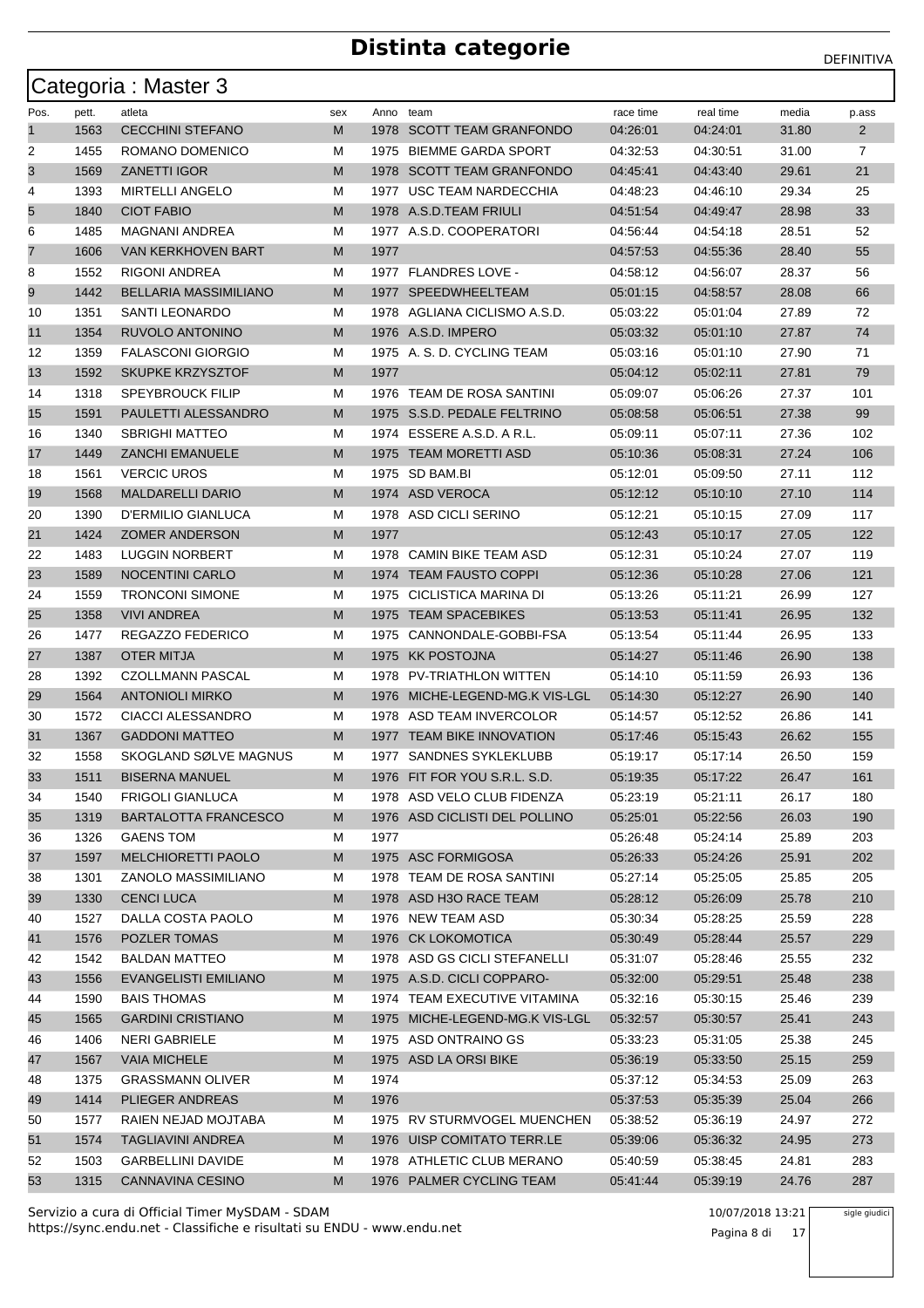|          |              | Categoria: Master 3                          |        |           |                                                       |                      |                      |                |                |
|----------|--------------|----------------------------------------------|--------|-----------|-------------------------------------------------------|----------------------|----------------------|----------------|----------------|
| Pos.     | pett.        | atleta                                       | sex    | Anno team |                                                       | race time            | real time            | media          | p.ass          |
| 1        | 1563         | <b>CECCHINI STEFANO</b>                      | М      |           | 1978 SCOTT TEAM GRANFONDO                             | 04:26:01             | 04:24:01             | 31.80          | $\overline{2}$ |
| 2        | 1455         | ROMANO DOMENICO                              | М      |           | 1975 BIEMME GARDA SPORT                               | 04:32:53             | 04:30:51             | 31.00          | 7              |
| 3        | 1569         | <b>ZANETTI IGOR</b>                          | М      |           | 1978 SCOTT TEAM GRANFONDO                             | 04:45:41             | 04:43:40             | 29.61          | 21             |
| 4        | 1393         | <b>MIRTELLI ANGELO</b>                       | М      |           | 1977 USC TEAM NARDECCHIA                              | 04:48:23             | 04:46:10             | 29.34          | 25             |
| 5        | 1840         | <b>CIOT FABIO</b>                            | М      |           | 1978 A.S.D.TEAM FRIULI                                | 04:51:54             | 04:49:47             | 28.98          | 33             |
| 6        | 1485         | <b>MAGNANI ANDREA</b>                        | М      |           | 1977 A.S.D. COOPERATORI                               | 04:56:44             | 04:54:18             | 28.51          | 52             |
| 7        | 1606         | <b>VAN KERKHOVEN BART</b>                    | М      | 1977      |                                                       | 04:57:53             | 04:55:36             | 28.40          | 55             |
| 8        | 1552         | RIGONI ANDREA                                | М      |           | 1977 FLANDRES LOVE -                                  | 04:58:12             | 04:56:07             | 28.37          | 56             |
| 9        | 1442         | BELLARIA MASSIMILIANO                        | М      |           | 1977 SPEEDWHEELTEAM                                   | 05:01:15             | 04:58:57             | 28.08          | 66             |
| 10       | 1351         | SANTI LEONARDO                               | М      |           | 1978 AGLIANA CICLISMO A.S.D.                          | 05:03:22             | 05:01:04             | 27.89          | 72             |
| 11       | 1354         | RUVOLO ANTONINO                              | М      |           | 1976 A.S.D. IMPERO                                    | 05:03:32             | 05:01:10             | 27.87          | 74             |
| 12       | 1359         | <b>FALASCONI GIORGIO</b>                     | М      |           | 1975 A. S. D. CYCLING TEAM                            | 05:03:16             | 05:01:10             | 27.90          | 71             |
| 13       | 1592         | <b>SKUPKE KRZYSZTOF</b>                      | М      | 1977      |                                                       | 05:04:12             | 05:02:11             | 27.81          | 79             |
| 14       | 1318         | <b>SPEYBROUCK FILIP</b>                      | М      |           | 1976 TEAM DE ROSA SANTINI                             | 05:09:07             | 05:06:26             | 27.37          | 101            |
| 15       | 1591         | PAULETTI ALESSANDRO                          | М      |           | 1975 S.S.D. PEDALE FELTRINO                           | 05:08:58             | 05:06:51             | 27.38          | 99             |
| 16       | 1340         | <b>SBRIGHI MATTEO</b>                        | М      |           | 1974 ESSERE A.S.D. A R.L.                             | 05:09:11             | 05:07:11             | 27.36          | 102            |
| 17       | 1449         | <b>ZANCHI EMANUELE</b>                       | М      |           | 1975 TEAM MORETTI ASD                                 | 05:10:36             | 05:08:31             | 27.24          | 106            |
| 18       | 1561         | <b>VERCIC UROS</b>                           | М      |           | 1975 SD BAM.BI                                        | 05:12:01             | 05:09:50             | 27.11          | 112            |
| 19       | 1568         | <b>MALDARELLI DARIO</b>                      | М      |           | 1974 ASD VEROCA                                       | 05:12:12             | 05:10:10             | 27.10          | 114            |
| 20       | 1390         | D'ERMILIO GIANLUCA                           | М      |           | 1978 ASD CICLI SERINO                                 | 05:12:21             | 05:10:15             | 27.09          | 117            |
| 21       | 1424         | <b>ZOMER ANDERSON</b>                        | М      | 1977      |                                                       | 05:12:43             | 05:10:17             | 27.05          | 122            |
| 22       | 1483         | <b>LUGGIN NORBERT</b>                        | М      |           | 1978 CAMIN BIKE TEAM ASD                              | 05:12:31             | 05:10:24             | 27.07          | 119            |
| 23       | 1589         | <b>NOCENTINI CARLO</b>                       | М      |           | 1974 TEAM FAUSTO COPPI                                | 05:12:36             | 05:10:28             | 27.06          | 121            |
| 24       | 1559         | <b>TRONCONI SIMONE</b>                       | М      | 1975      | CICLISTICA MARINA DI                                  | 05:13:26             | 05:11:21             | 26.99          | 127            |
| 25       | 1358         | <b>VIVI ANDREA</b>                           | М      |           | 1975 TEAM SPACEBIKES                                  | 05:13:53             | 05:11:41             | 26.95          | 132            |
| 26       | 1477         | REGAZZO FEDERICO                             | М      |           | 1975 CANNONDALE-GOBBI-FSA                             | 05:13:54             | 05:11:44             | 26.95          | 133            |
| 27       | 1387         | <b>OTER MITJA</b>                            | М      |           | 1975 KK POSTOJNA                                      | 05:14:27             | 05:11:46             | 26.90          | 138            |
| 28       | 1392         | CZOLLMANN PASCAL                             | М      |           | 1978 PV-TRIATHLON WITTEN                              | 05:14:10             | 05:11:59             | 26.93          | 136            |
| 29       | 1564         | <b>ANTONIOLI MIRKO</b>                       | М      |           | 1976 MICHE-LEGEND-MG.K VIS-LGL                        | 05:14:30             | 05:12:27             | 26.90          | 140            |
| 30       | 1572         | CIACCI ALESSANDRO                            | М      |           | 1978 ASD TEAM INVERCOLOR                              | 05:14:57             | 05:12:52             | 26.86          | 141            |
| 31       | 1367         | <b>GADDONI MATTEO</b>                        | М      |           | 1977 TEAM BIKE INNOVATION                             | 05:17:46             | 05:15:43             | 26.62          | 155            |
| 32       | 1558         | SKOGLAND SØLVE MAGNUS                        | М      |           | 1977 SANDNES SYKLEKLUBB                               | 05:19:17             | 05:17:14             | 26.50          | 159            |
| 33       | 1511         | <b>BISERNA MANUEL</b>                        | M      |           | 1976 FIT FOR YOU S.R.L. S.D.                          | 05:19:35             | 05:17:22             | 26.47          | 161            |
| 34       | 1540         | <b>FRIGOLI GIANLUCA</b>                      | М      |           | 1978 ASD VELO CLUB FIDENZA                            | 05:23:19             | 05:21:11             | 26.17          | 180            |
| 35       | 1319         | BARTALOTTA FRANCESCO                         | M      |           | 1976 ASD CICLISTI DEL POLLINO                         | 05:25:01             | 05:22:56             | 26.03          | 190            |
| 36       | 1326         | <b>GAENS TOM</b>                             | М      | 1977      |                                                       | 05:26:48             | 05:24:14             | 25.89          | 203            |
| 37       | 1597         | MELCHIORETTI PAOLO                           | M      |           | 1975 ASC FORMIGOSA                                    | 05:26:33             | 05:24:26             | 25.91          | 202            |
| 38       | 1301         | ZANOLO MASSIMILIANO                          | М      |           | 1978 TEAM DE ROSA SANTINI                             | 05:27:14             | 05:25:05             | 25.85          | 205            |
| 39       | 1330         | <b>CENCI LUCA</b>                            | M      |           | 1978 ASD H3O RACE TEAM                                | 05:28:12             | 05:26:09             | 25.78          | 210            |
| 40       | 1527         | DALLA COSTA PAOLO                            | M      |           | 1976 NEW TEAM ASD                                     | 05:30:34             | 05:28:25             | 25.59          | 228            |
| 41       | 1576         | POZLER TOMAS                                 | M      |           | 1976 CK LOKOMOTICA                                    | 05:30:49             | 05:28:44             | 25.57          | 229            |
| 42       | 1542         | <b>BALDAN MATTEO</b>                         | М      |           | 1978 ASD GS CICLI STEFANELLI                          | 05:31:07             | 05:28:46             | 25.55          | 232            |
| 43       | 1556         | <b>EVANGELISTI EMILIANO</b>                  | M      |           | 1975 A.S.D. CICLI COPPARO-                            | 05:32:00             | 05:29:51             | 25.48          | 238            |
| 44       | 1590         | <b>BAIS THOMAS</b>                           | M      |           | 1974 TEAM EXECUTIVE VITAMINA                          | 05:32:16             | 05:30:15             | 25.46          | 239            |
| 45       | 1565         | <b>GARDINI CRISTIANO</b>                     | M      |           | 1975 MICHE-LEGEND-MG.K VIS-LGL                        | 05:32:57             | 05:30:57             | 25.41          | 243            |
| 46       | 1406         | <b>NERI GABRIELE</b>                         | М      |           | 1975 ASD ONTRAINO GS                                  | 05:33:23             | 05:31:05             | 25.38          | 245            |
| 47       | 1567         | <b>VAIA MICHELE</b>                          | M      |           | 1975 ASD LA ORSI BIKE                                 | 05:36:19             | 05:33:50             | 25.15          | 259            |
| 48       | 1375         | <b>GRASSMANN OLIVER</b>                      | М      | 1974      |                                                       | 05:37:12             | 05:34:53             | 25.09          | 263            |
| 49       | 1414         | PLIEGER ANDREAS                              | М      | 1976      |                                                       | 05:37:53             | 05:35:39             | 25.04          | 266            |
| 50       | 1577         | RAIEN NEJAD MOJTABA                          | М      |           | 1975 RV STURMVOGEL MUENCHEN                           | 05:38:52             | 05:36:19             | 24.97          | 272            |
| 51       | 1574         | <b>TAGLIAVINI ANDREA</b>                     | M      |           | 1976 UISP COMITATO TERR.LE                            | 05:39:06             | 05:36:32             | 24.95          | 273            |
| 52<br>53 | 1503<br>1315 | GARBELLINI DAVIDE<br><b>CANNAVINA CESINO</b> | M<br>M |           | 1978 ATHLETIC CLUB MERANO<br>1976 PALMER CYCLING TEAM | 05:40:59<br>05:41:44 | 05:38:45<br>05:39:19 | 24.81<br>24.76 | 283<br>287     |
|          |              |                                              |        |           |                                                       |                      |                      |                |                |

https://sync.endu.net - Classifiche e risultati su ENDU - www.endu.net Servizio a cura di Official Timer MySDAM - SDAM 10/07/2018 13:21

Pagina 8 di 17

sigle giudici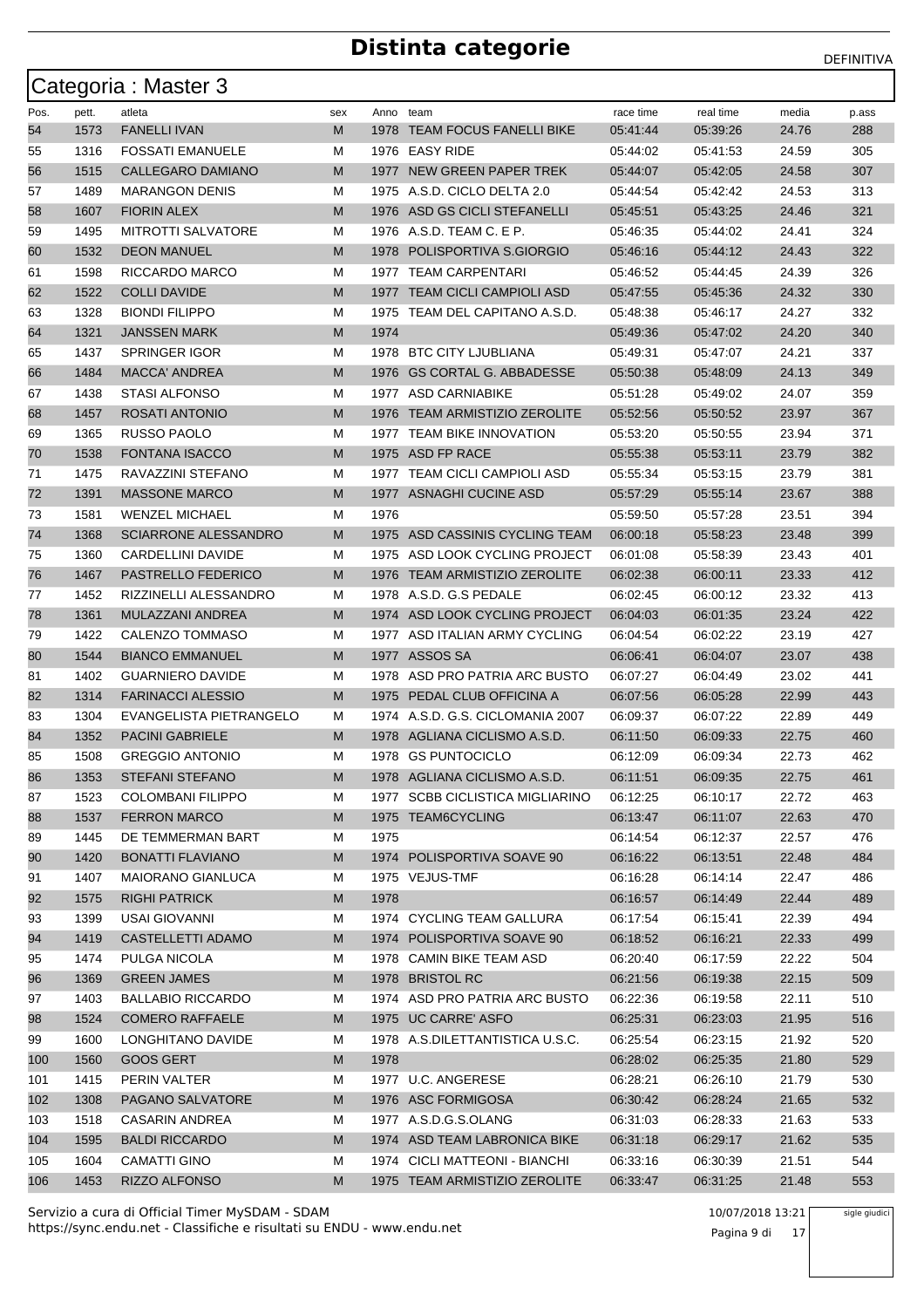|      |       | Categoria: Master 3         |     |           |                                  |           |           |       |       |
|------|-------|-----------------------------|-----|-----------|----------------------------------|-----------|-----------|-------|-------|
| Pos. | pett. | atleta                      | sex | Anno team |                                  | race time | real time | media | p.ass |
| 54   | 1573  | <b>FANELLI IVAN</b>         | M   |           | 1978 TEAM FOCUS FANELLI BIKE     | 05:41:44  | 05:39:26  | 24.76 | 288   |
| 55   | 1316  | <b>FOSSATI EMANUELE</b>     | M   | 1976      | <b>EASY RIDE</b>                 | 05:44:02  | 05:41:53  | 24.59 | 305   |
| 56   | 1515  | CALLEGARO DAMIANO           | M   | 1977      | NEW GREEN PAPER TREK             | 05:44:07  | 05:42:05  | 24.58 | 307   |
| 57   | 1489  | MARANGON DENIS              | м   |           | 1975 A.S.D. CICLO DELTA 2.0      | 05:44:54  | 05:42:42  | 24.53 | 313   |
| 58   | 1607  | <b>FIORIN ALEX</b>          | M   | 1976      | ASD GS CICLI STEFANELLI          | 05:45:51  | 05:43:25  | 24.46 | 321   |
| 59   | 1495  | <b>MITROTTI SALVATORE</b>   | М   |           | 1976 A.S.D. TEAM C. E P.         | 05:46:35  | 05:44:02  | 24.41 | 324   |
| 60   | 1532  | <b>DEON MANUEL</b>          | M   |           | 1978 POLISPORTIVA S.GIORGIO      | 05:46:16  | 05:44:12  | 24.43 | 322   |
| 61   | 1598  | RICCARDO MARCO              | M   | 1977      | <b>TEAM CARPENTARI</b>           | 05:46:52  | 05:44:45  | 24.39 | 326   |
| 62   | 1522  | <b>COLLI DAVIDE</b>         | M   |           | 1977 TEAM CICLI CAMPIOLI ASD     | 05:47:55  | 05:45:36  | 24.32 | 330   |
| 63   | 1328  | <b>BIONDI FILIPPO</b>       | м   |           | 1975 TEAM DEL CAPITANO A.S.D.    | 05:48:38  | 05:46:17  | 24.27 | 332   |
| 64   | 1321  | <b>JANSSEN MARK</b>         | M   | 1974      |                                  | 05:49:36  | 05:47:02  | 24.20 | 340   |
| 65   | 1437  | <b>SPRINGER IGOR</b>        | м   |           | 1978 BTC CITY LJUBLIANA          | 05:49:31  | 05:47:07  | 24.21 | 337   |
| 66   | 1484  | <b>MACCA' ANDREA</b>        | M   |           | 1976 GS CORTAL G. ABBADESSE      | 05:50:38  | 05:48:09  | 24.13 | 349   |
| 67   | 1438  | <b>STASI ALFONSO</b>        | м   |           | 1977 ASD CARNIABIKE              | 05:51:28  | 05:49:02  | 24.07 | 359   |
| 68   | 1457  | ROSATI ANTONIO              | M   | 1976      | <b>TEAM ARMISTIZIO ZEROLITE</b>  | 05:52:56  | 05:50:52  | 23.97 | 367   |
| 69   | 1365  | RUSSO PAOLO                 | м   | 1977      | <b>TEAM BIKE INNOVATION</b>      | 05:53:20  | 05:50:55  | 23.94 | 371   |
| 70   | 1538  | <b>FONTANA ISACCO</b>       | M   |           | 1975 ASD FP RACE                 | 05.55.38  | 05:53:11  | 23.79 | 382   |
| 71   | 1475  | RAVAZZINI STEFANO           | м   |           | 1977 TEAM CICLI CAMPIOLI ASD     | 05:55:34  | 05:53:15  | 23.79 | 381   |
| 72   | 1391  | <b>MASSONE MARCO</b>        | M   |           | 1977 ASNAGHI CUCINE ASD          | 05:57:29  | 05.55:14  | 23.67 | 388   |
| 73   | 1581  | <b>WENZEL MICHAEL</b>       | M   | 1976      |                                  | 05:59:50  | 05.57:28  | 23.51 | 394   |
| 74   | 1368  | <b>SCIARRONE ALESSANDRO</b> | M   |           | 1975 ASD CASSINIS CYCLING TEAM   | 06:00:18  | 05:58:23  | 23.48 | 399   |
| 75   | 1360  | <b>CARDELLINI DAVIDE</b>    | м   | 1975      | ASD LOOK CYCLING PROJECT         | 06:01:08  | 05:58:39  | 23.43 | 401   |
| 76   | 1467  | PASTRELLO FEDERICO          | M   | 1976      | <b>TEAM ARMISTIZIO ZEROLITE</b>  | 06:02:38  | 06:00:11  | 23.33 | 412   |
| 77   | 1452  | RIZZINELLI ALESSANDRO       | м   |           | 1978 A.S.D. G.S PEDALE           | 06:02:45  | 06:00:12  | 23.32 | 413   |
| 78   | 1361  | MULAZZANI ANDREA            | M   |           | 1974 ASD LOOK CYCLING PROJECT    | 06:04:03  | 06:01:35  | 23.24 | 422   |
| 79   | 1422  | CALENZO TOMMASO             | M   | 1977      | ASD ITALIAN ARMY CYCLING         | 06:04:54  | 06:02:22  | 23.19 | 427   |
| 80   | 1544  | <b>BIANCO EMMANUEL</b>      | M   |           | 1977 ASSOS SA                    | 06:06:41  | 06:04:07  | 23.07 | 438   |
| 81   | 1402  | GUARNIERO DAVIDE            | м   | 1978      | ASD PRO PATRIA ARC BUSTO         | 06:07:27  | 06:04:49  | 23.02 | 441   |
| 82   | 1314  | <b>FARINACCI ALESSIO</b>    | M   | 1975      | PEDAL CLUB OFFICINA A            | 06:07:56  | 06:05:28  | 22.99 | 443   |
| 83   | 1304  | EVANGELISTA PIETRANGELO     | м   |           | 1974 A.S.D. G.S. CICLOMANIA 2007 | 06:09:37  | 06:07:22  | 22.89 | 449   |
| 84   | 1352  | <b>PACINI GABRIELE</b>      | M   |           | 1978 AGLIANA CICLISMO A.S.D.     | 06:11:50  | 06:09:33  | 22.75 | 460   |
| 85   | 1508  | <b>GREGGIO ANTONIO</b>      | М   |           | 1978 GS PUNTOCICLO               | 06:12:09  | 06:09:34  | 22.73 | 462   |
| 86   | 1353  | <b>STEFANI STEFANO</b>      | M   |           | 1978 AGLIANA CICLISMO A.S.D.     | 06:11:51  | 06:09:35  | 22.75 | 461   |
| 87   | 1523  | <b>COLOMBANI FILIPPO</b>    | м   |           | 1977 SCBB CICLISTICA MIGLIARINO  | 06:12:25  | 06:10:17  | 22.72 | 463   |
| 88   | 1537  | <b>FERRON MARCO</b>         | M   |           | 1975 TEAM6CYCLING                | 06:13:47  | 06:11:07  | 22.63 | 470   |
| 89   | 1445  | DE TEMMERMAN BART           | м   | 1975      |                                  | 06:14:54  | 06:12:37  | 22.57 | 476   |
| 90   | 1420  | BONATTI FLAVIANO            | M   |           | 1974 POLISPORTIVA SOAVE 90       | 06:16:22  | 06:13:51  | 22.48 | 484   |
| 91   | 1407  | <b>MAIORANO GIANLUCA</b>    | M   |           | 1975 VEJUS-TMF                   | 06:16:28  | 06:14:14  | 22.47 | 486   |
| 92   | 1575  | <b>RIGHI PATRICK</b>        | M   | 1978      |                                  | 06:16:57  | 06:14:49  | 22.44 | 489   |
| 93   | 1399  | USAI GIOVANNI               | м   |           | 1974 CYCLING TEAM GALLURA        | 06:17:54  | 06:15:41  | 22.39 | 494   |
| 94   | 1419  | CASTELLETTI ADAMO           | M   |           | 1974 POLISPORTIVA SOAVE 90       | 06:18:52  | 06:16:21  | 22.33 | 499   |
| 95   | 1474  | PULGA NICOLA                | м   |           | 1978 CAMIN BIKE TEAM ASD         | 06:20:40  | 06:17:59  | 22.22 | 504   |
| 96   | 1369  | GREEN JAMES                 | M   |           | 1978 BRISTOL RC                  | 06:21:56  | 06:19:38  | 22.15 | 509   |
| 97   | 1403  | <b>BALLABIO RICCARDO</b>    | м   |           | 1974 ASD PRO PATRIA ARC BUSTO    | 06:22:36  | 06:19:58  | 22.11 | 510   |
| 98   | 1524  | <b>COMERO RAFFAELE</b>      | M   |           | 1975 UC CARRE' ASFO              | 06:25:31  | 06:23:03  | 21.95 | 516   |
| 99   | 1600  | LONGHITANO DAVIDE           | м   |           | 1978 A.S.DILETTANTISTICA U.S.C.  | 06:25:54  | 06:23:15  | 21.92 | 520   |
| 100  | 1560  | <b>GOOS GERT</b>            | M   | 1978      |                                  | 06:28:02  | 06:25:35  | 21.80 | 529   |
| 101  | 1415  | PERIN VALTER                | м   |           | 1977 U.C. ANGERESE               | 06:28:21  | 06:26:10  | 21.79 | 530   |
| 102  | 1308  | PAGANO SALVATORE            | M   |           | 1976 ASC FORMIGOSA               | 06:30:42  | 06:28:24  | 21.65 | 532   |
| 103  | 1518  | CASARIN ANDREA              | м   |           | 1977 A.S.D.G.S.OLANG             | 06:31:03  | 06:28:33  | 21.63 | 533   |
| 104  | 1595  | <b>BALDI RICCARDO</b>       | M   |           | 1974 ASD TEAM LABRONICA BIKE     | 06:31:18  | 06:29:17  | 21.62 | 535   |
| 105  | 1604  | <b>CAMATTI GINO</b>         | м   |           | 1974 CICLI MATTEONI - BIANCHI    | 06:33:16  | 06:30:39  | 21.51 | 544   |
| 106  | 1453  | RIZZO ALFONSO               | M   |           | 1975 TEAM ARMISTIZIO ZEROLITE    | 06:33:47  | 06:31:25  | 21.48 | 553   |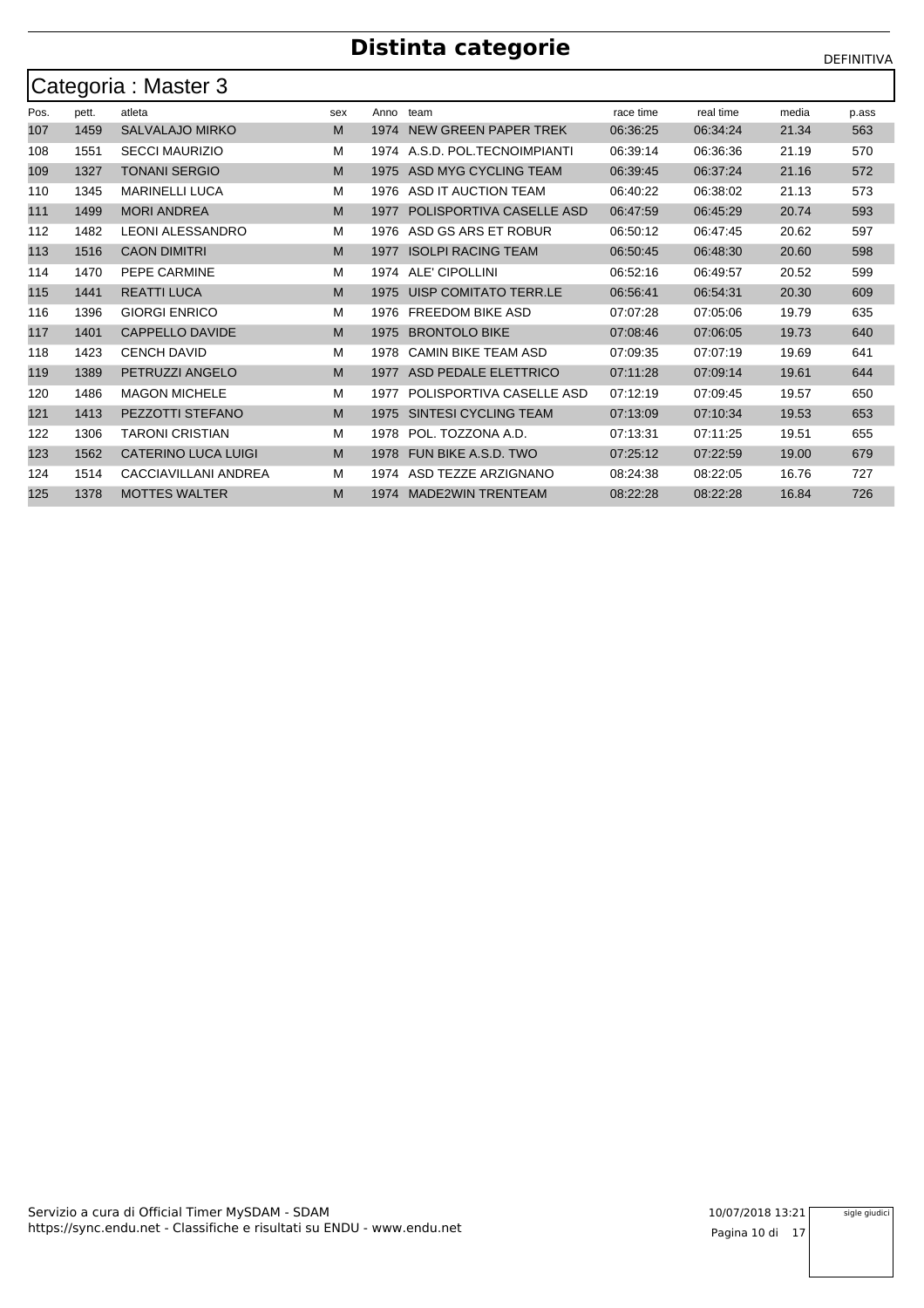|      | Categoria : Master 3 |                            |     |      |                            |           |           |       |       |  |  |  |  |  |
|------|----------------------|----------------------------|-----|------|----------------------------|-----------|-----------|-------|-------|--|--|--|--|--|
| Pos. | pett.                | atleta                     | sex | Anno | team                       | race time | real time | media | p.ass |  |  |  |  |  |
| 107  | 1459                 | <b>SALVALAJO MIRKO</b>     | M   | 1974 | NEW GREEN PAPER TREK       | 06:36:25  | 06:34:24  | 21.34 | 563   |  |  |  |  |  |
| 108  | 1551                 | <b>SECCI MAURIZIO</b>      | М   | 1974 | A.S.D. POL.TECNOIMPIANTI   | 06:39:14  | 06:36:36  | 21.19 | 570   |  |  |  |  |  |
| 109  | 1327                 | <b>TONANI SERGIO</b>       | M   | 1975 | ASD MYG CYCLING TEAM       | 06:39:45  | 06:37:24  | 21.16 | 572   |  |  |  |  |  |
| 110  | 1345                 | <b>MARINELLI LUCA</b>      | M   | 1976 | ASD IT AUCTION TEAM        | 06:40:22  | 06:38:02  | 21.13 | 573   |  |  |  |  |  |
| 111  | 1499                 | <b>MORI ANDREA</b>         | M   | 1977 | POLISPORTIVA CASELLE ASD   | 06:47:59  | 06:45:29  | 20.74 | 593   |  |  |  |  |  |
| 112  | 1482                 | <b>LEONI ALESSANDRO</b>    | M   | 1976 | ASD GS ARS ET ROBUR        | 06:50:12  | 06:47:45  | 20.62 | 597   |  |  |  |  |  |
| 113  | 1516                 | <b>CAON DIMITRI</b>        | M   | 1977 | <b>ISOLPI RACING TEAM</b>  | 06:50:45  | 06:48:30  | 20.60 | 598   |  |  |  |  |  |
| 114  | 1470                 | PEPE CARMINE               | M   | 1974 | ALE' CIPOLLINI             | 06:52:16  | 06:49:57  | 20.52 | 599   |  |  |  |  |  |
| 115  | 1441                 | <b>REATTI LUCA</b>         | M   | 1975 | UISP COMITATO TERR.LE      | 06:56:41  | 06:54:31  | 20.30 | 609   |  |  |  |  |  |
| 116  | 1396                 | <b>GIORGI ENRICO</b>       | М   | 1976 | <b>FREEDOM BIKE ASD</b>    | 07:07:28  | 07:05:06  | 19.79 | 635   |  |  |  |  |  |
| 117  | 1401                 | <b>CAPPELLO DAVIDE</b>     | M   | 1975 | <b>BRONTOLO BIKE</b>       | 07:08:46  | 07:06:05  | 19.73 | 640   |  |  |  |  |  |
| 118  | 1423                 | <b>CENCH DAVID</b>         | M   | 1978 | <b>CAMIN BIKE TEAM ASD</b> | 07:09:35  | 07:07:19  | 19.69 | 641   |  |  |  |  |  |
| 119  | 1389                 | PETRUZZI ANGELO            | M   | 1977 | ASD PEDALE ELETTRICO       | 07:11:28  | 07:09:14  | 19.61 | 644   |  |  |  |  |  |
| 120  | 1486                 | <b>MAGON MICHELE</b>       | М   | 1977 | POLISPORTIVA CASELLE ASD   | 07:12:19  | 07:09:45  | 19.57 | 650   |  |  |  |  |  |
| 121  | 1413                 | PEZZOTTI STEFANO           | M   | 1975 | SINTESI CYCLING TEAM       | 07:13:09  | 07:10:34  | 19.53 | 653   |  |  |  |  |  |
| 122  | 1306                 | TARONI CRISTIAN            | M   | 1978 | POL. TOZZONA A.D.          | 07:13:31  | 07:11:25  | 19.51 | 655   |  |  |  |  |  |
| 123  | 1562                 | <b>CATERINO LUCA LUIGI</b> | M   | 1978 | FUN BIKE A.S.D. TWO        | 07:25:12  | 07:22:59  | 19.00 | 679   |  |  |  |  |  |
| 124  | 1514                 | CACCIAVILLANI ANDREA       | м   | 1974 | ASD TEZZE ARZIGNANO        | 08:24:38  | 08:22:05  | 16.76 | 727   |  |  |  |  |  |
| 125  | 1378                 | <b>MOTTES WALTER</b>       | M   | 1974 | <b>MADE2WIN TRENTEAM</b>   | 08:22:28  | 08:22:28  | 16.84 | 726   |  |  |  |  |  |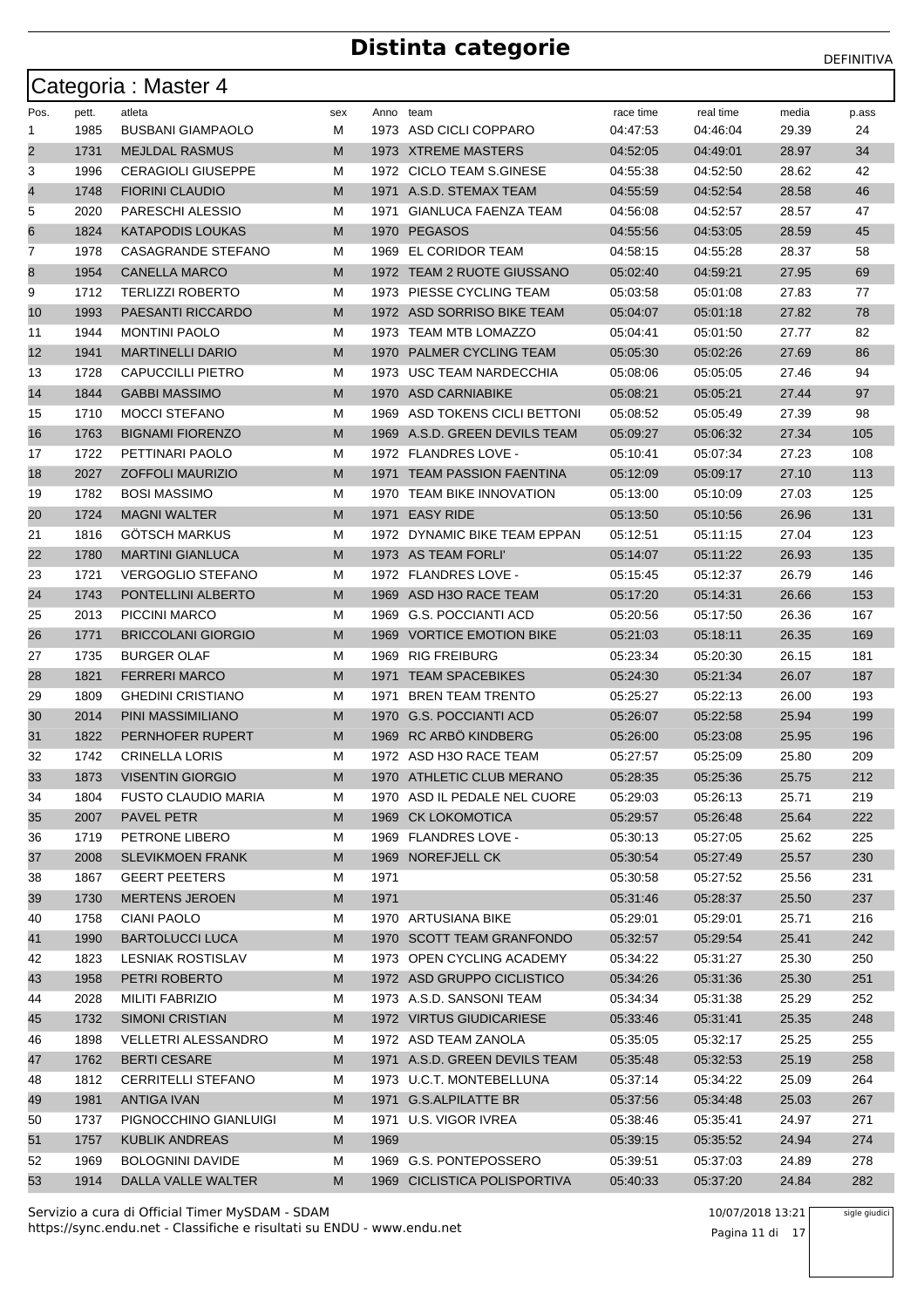|                |       | Categoria: Master 4        |     |           |                               |           |           |       |       |
|----------------|-------|----------------------------|-----|-----------|-------------------------------|-----------|-----------|-------|-------|
| Pos.           | pett. | atleta                     | sex | Anno team |                               | race time | real time | media | p.ass |
| 1              | 1985  | <b>BUSBANI GIAMPAOLO</b>   | М   |           | 1973 ASD CICLI COPPARO        | 04:47:53  | 04:46:04  | 29.39 | 24    |
| $\overline{2}$ | 1731  | <b>MEJLDAL RASMUS</b>      | M   |           | 1973 XTREME MASTERS           | 04:52:05  | 04:49:01  | 28.97 | 34    |
| 3              | 1996  | <b>CERAGIOLI GIUSEPPE</b>  | М   |           | 1972 CICLO TEAM S.GINESE      | 04:55:38  | 04:52:50  | 28.62 | 42    |
| 4              | 1748  | <b>FIORINI CLAUDIO</b>     | М   |           | 1971 A.S.D. STEMAX TEAM       | 04:55:59  | 04:52:54  | 28.58 | 46    |
| 5              | 2020  | PARESCHI ALESSIO           | М   | 1971      | <b>GIANLUCA FAENZA TEAM</b>   | 04:56:08  | 04:52:57  | 28.57 | 47    |
| 6              | 1824  | <b>KATAPODIS LOUKAS</b>    | М   | 1970      | <b>PEGASOS</b>                | 04:55:56  | 04:53:05  | 28.59 | 45    |
| 7              | 1978  | CASAGRANDE STEFANO         | М   | 1969      | EL CORIDOR TEAM               | 04:58:15  | 04:55:28  | 28.37 | 58    |
| 8              | 1954  | <b>CANELLA MARCO</b>       | M   |           | 1972 TEAM 2 RUOTE GIUSSANO    | 05:02:40  | 04:59:21  | 27.95 | 69    |
| 9              | 1712  | <b>TERLIZZI ROBERTO</b>    | М   |           | 1973 PIESSE CYCLING TEAM      | 05:03:58  | 05:01:08  | 27.83 | 77    |
| 10             | 1993  | PAESANTI RICCARDO          | М   |           | 1972 ASD SORRISO BIKE TEAM    | 05:04:07  | 05:01:18  | 27.82 | 78    |
| 11             | 1944  | <b>MONTINI PAOLO</b>       | М   |           | 1973 TEAM MTB LOMAZZO         | 05:04:41  | 05:01:50  | 27.77 | 82    |
| 12             | 1941  | <b>MARTINELLI DARIO</b>    | М   | 1970      | PALMER CYCLING TEAM           | 05:05:30  | 05:02:26  | 27.69 | 86    |
| 13             | 1728  | <b>CAPUCCILLI PIETRO</b>   | М   | 1973      | USC TEAM NARDECCHIA           | 05:08:06  | 05:05:05  | 27.46 | 94    |
| 14             | 1844  | <b>GABBI MASSIMO</b>       | М   |           | 1970 ASD CARNIABIKE           | 05:08:21  | 05:05:21  | 27.44 | 97    |
| 15             | 1710  | <b>MOCCI STEFANO</b>       | М   | 1969      | ASD TOKENS CICLI BETTONI      | 05:08:52  | 05:05:49  | 27.39 | 98    |
| 16             | 1763  | <b>BIGNAMI FIORENZO</b>    | М   |           | 1969 A.S.D. GREEN DEVILS TEAM | 05:09:27  | 05:06:32  | 27.34 | 105   |
| 17             | 1722  | PETTINARI PAOLO            | М   |           | 1972 FLANDRES LOVE -          | 05:10:41  | 05:07:34  | 27.23 | 108   |
| 18             | 2027  | <b>ZOFFOLI MAURIZIO</b>    | М   | 1971      | <b>TEAM PASSION FAENTINA</b>  | 05:12:09  | 05:09:17  | 27.10 | 113   |
| 19             | 1782  | <b>BOSI MASSIMO</b>        | М   | 1970      | TEAM BIKE INNOVATION          | 05:13:00  | 05:10:09  | 27.03 | 125   |
| 20             | 1724  | <b>MAGNI WALTER</b>        | М   |           | 1971 EASY RIDE                | 05:13:50  | 05:10:56  | 26.96 | 131   |
| 21             | 1816  | <b>GOTSCH MARKUS</b>       | М   |           | 1972 DYNAMIC BIKE TEAM EPPAN  | 05:12:51  | 05:11:15  | 27.04 | 123   |
| 22             | 1780  | <b>MARTINI GIANLUCA</b>    | М   |           | 1973 AS TEAM FORLI'           | 05:14:07  | 05:11:22  | 26.93 | 135   |
| 23             | 1721  | <b>VERGOGLIO STEFANO</b>   | М   |           | 1972 FLANDRES LOVE -          | 05:15:45  | 05:12:37  | 26.79 | 146   |
| 24             | 1743  | PONTELLINI ALBERTO         | М   | 1969      | ASD H3O RACE TEAM             | 05:17:20  | 05:14:31  | 26.66 | 153   |
| 25             | 2013  | PICCINI MARCO              | М   | 1969      | G.S. POCCIANTI ACD            | 05:20:56  | 05:17:50  | 26.36 | 167   |
| 26             | 1771  | <b>BRICCOLANI GIORGIO</b>  | M   |           | 1969 VORTICE EMOTION BIKE     | 05:21:03  | 05:18:11  | 26.35 | 169   |
| 27             | 1735  | <b>BURGER OLAF</b>         | М   | 1969      | <b>RIG FREIBURG</b>           | 05:23:34  | 05:20:30  | 26.15 | 181   |
| 28             | 1821  | <b>FERRERI MARCO</b>       | М   | 1971      | <b>TEAM SPACEBIKES</b>        | 05:24:30  | 05:21:34  | 26.07 | 187   |
| 29             | 1809  | <b>GHEDINI CRISTIANO</b>   | М   | 1971      | <b>BREN TEAM TRENTO</b>       | 05:25:27  | 05:22:13  | 26.00 | 193   |
| 30             | 2014  | PINI MASSIMILIANO          | М   | 1970      | <b>G.S. POCCIANTI ACD</b>     | 05:26:07  | 05:22:58  | 25.94 | 199   |
| 31             | 1822  | PERNHOFER RUPERT           | М   | 1969      | RC ARBÖ KINDBERG              | 05:26:00  | 05:23:08  | 25.95 | 196   |
| 32             | 1742  | <b>CRINELLA LORIS</b>      | М   |           | 1972 ASD H3O RACE TEAM        | 05:27:57  | 05:25:09  | 25.80 | 209   |
| 33             | 1873  | <b>VISENTIN GIORGIO</b>    | M   |           | 1970 ATHLETIC CLUB MERANO     | 05:28:35  | 05:25:36  | 25.75 | 212   |
| 34             | 1804  | <b>FUSTO CLAUDIO MARIA</b> | M   |           | 1970 ASD IL PEDALE NEL CUORE  | 05:29:03  | 05:26:13  | 25.71 | 219   |
| 35             | 2007  | PAVEL PETR                 | M   |           | 1969 CK LOKOMOTICA            | 05:29:57  | 05:26:48  | 25.64 | 222   |
| 36             | 1719  | PETRONE LIBERO             | М   |           | 1969 FLANDRES LOVE -          | 05:30:13  | 05:27:05  | 25.62 | 225   |
| 37             | 2008  | <b>SLEVIKMOEN FRANK</b>    | M   |           | 1969 NOREFJELL CK             | 05:30:54  | 05:27:49  | 25.57 | 230   |
| 38             | 1867  | <b>GEERT PEETERS</b>       | М   | 1971      |                               | 05:30:58  | 05:27:52  | 25.56 | 231   |
| 39             | 1730  | <b>MERTENS JEROEN</b>      | M   | 1971      |                               | 05:31:46  | 05:28:37  | 25.50 | 237   |
| 40             | 1758  | <b>CIANI PAOLO</b>         | M   |           | 1970 ARTUSIANA BIKE           | 05:29:01  | 05:29:01  | 25.71 | 216   |
| 41             | 1990  | <b>BARTOLUCCI LUCA</b>     | M   |           | 1970 SCOTT TEAM GRANFONDO     | 05:32:57  | 05:29:54  | 25.41 | 242   |
| 42             | 1823  | LESNIAK ROSTISLAV          | М   |           | 1973 OPEN CYCLING ACADEMY     | 05:34:22  | 05:31:27  | 25.30 | 250   |
| 43             | 1958  | PETRI ROBERTO              | M   |           | 1972 ASD GRUPPO CICLISTICO    | 05:34:26  | 05:31:36  | 25.30 | 251   |
| 44             | 2028  | MILITI FABRIZIO            | М   |           | 1973 A.S.D. SANSONI TEAM      | 05:34:34  | 05:31:38  | 25.29 | 252   |
| 45             | 1732  | <b>SIMONI CRISTIAN</b>     | M   |           | 1972 VIRTUS GIUDICARIESE      | 05:33:46  | 05:31:41  | 25.35 | 248   |
| 46             | 1898  | <b>VELLETRI ALESSANDRO</b> | М   |           | 1972 ASD TEAM ZANOLA          | 05:35:05  | 05:32:17  | 25.25 | 255   |
| 47             | 1762  | <b>BERTI CESARE</b>        | M   |           | 1971 A.S.D. GREEN DEVILS TEAM | 05:35:48  | 05:32:53  | 25.19 | 258   |
| 48             | 1812  | <b>CERRITELLI STEFANO</b>  | М   |           | 1973 U.C.T. MONTEBELLUNA      | 05:37:14  | 05:34:22  | 25.09 | 264   |
| 49             | 1981  | <b>ANTIGA IVAN</b>         | M   |           | 1971 G.S.ALPILATTE BR         | 05:37:56  | 05:34:48  | 25.03 | 267   |
| 50             | 1737  | PIGNOCCHINO GIANLUIGI      | М   |           | 1971 U.S. VIGOR IVREA         | 05:38:46  | 05:35:41  | 24.97 | 271   |
| 51             | 1757  | <b>KUBLIK ANDREAS</b>      | M   | 1969      |                               | 05:39:15  | 05:35:52  | 24.94 | 274   |
| 52             | 1969  | <b>BOLOGNINI DAVIDE</b>    | М   |           | 1969 G.S. PONTEPOSSERO        | 05:39:51  | 05:37:03  | 24.89 | 278   |
| 53             | 1914  | DALLA VALLE WALTER         | M   |           | 1969 CICLISTICA POLISPORTIVA  | 05:40:33  | 05:37:20  | 24.84 | 282   |

https://sync.endu.net - Classifiche e risultati su ENDU - www.endu.net Servizio a cura di Official Timer MySDAM - SDAM 10/07/2018 13:21 sigle giudici

Pagina 11 di 17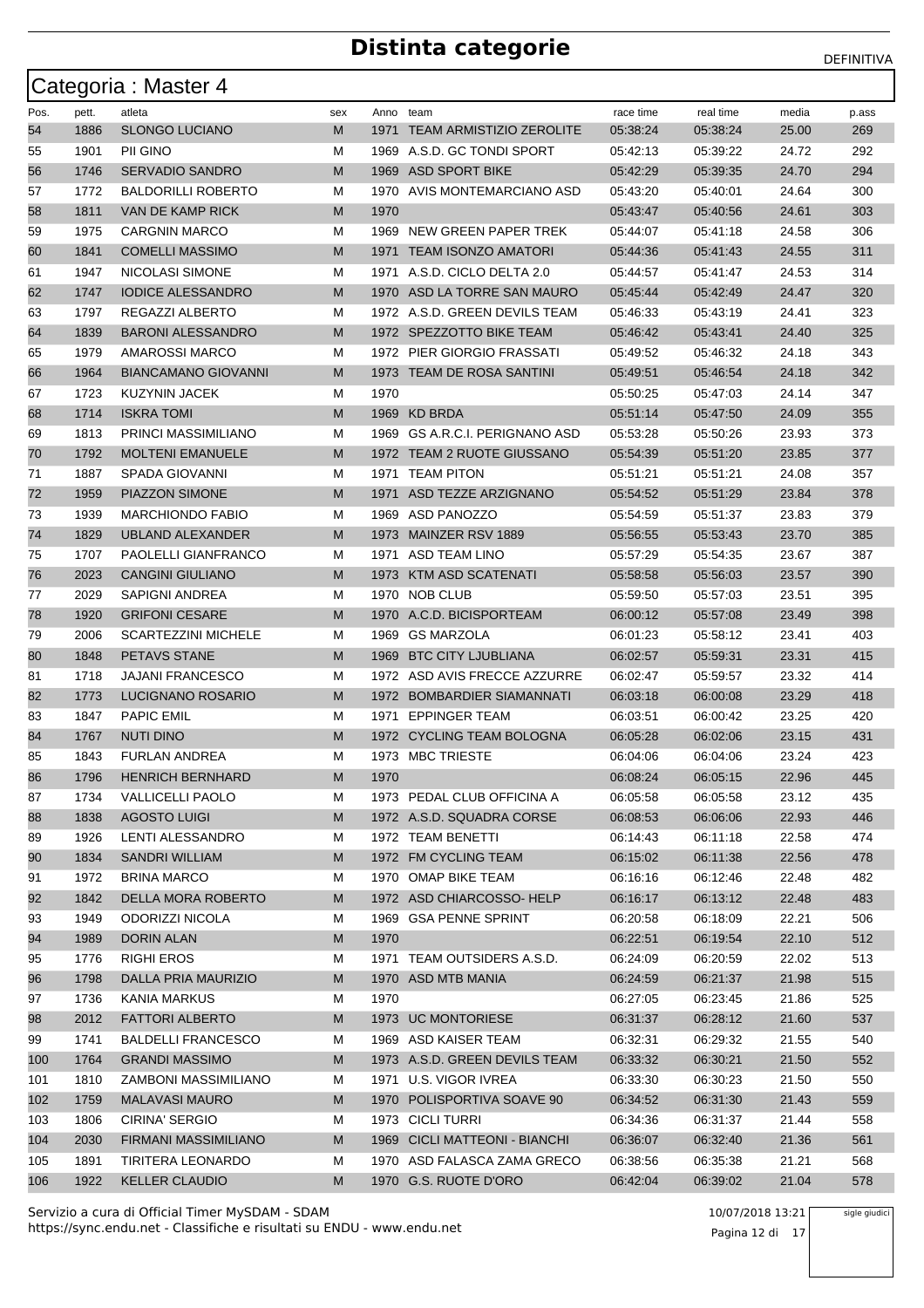|      |       | Categoria: Master 4        |     |           |                                 |           |           |       |       |
|------|-------|----------------------------|-----|-----------|---------------------------------|-----------|-----------|-------|-------|
| Pos. | pett. | atleta                     | sex | Anno team |                                 | race time | real time | media | p.ass |
| 54   | 1886  | <b>SLONGO LUCIANO</b>      | M   | 1971      | <b>TEAM ARMISTIZIO ZEROLITE</b> | 05:38:24  | 05:38:24  | 25.00 | 269   |
| 55   | 1901  | PII GINO                   | м   |           | 1969 A.S.D. GC TONDI SPORT      | 05:42:13  | 05:39:22  | 24.72 | 292   |
| 56   | 1746  | <b>SERVADIO SANDRO</b>     | M   |           | 1969 ASD SPORT BIKE             | 05:42:29  | 05:39:35  | 24.70 | 294   |
| 57   | 1772  | <b>BALDORILLI ROBERTO</b>  | м   |           | 1970 AVIS MONTEMARCIANO ASD     | 05:43:20  | 05:40:01  | 24.64 | 300   |
| 58   | 1811  | VAN DE KAMP RICK           | M   | 1970      |                                 | 05:43:47  | 05:40:56  | 24.61 | 303   |
| 59   | 1975  | <b>CARGNIN MARCO</b>       | М   | 1969      | NEW GREEN PAPER TREK            | 05:44:07  | 05:41:18  | 24.58 | 306   |
| 60   | 1841  | <b>COMELLI MASSIMO</b>     | M   |           | 1971 TEAM ISONZO AMATORI        | 05:44:36  | 05:41:43  | 24.55 | 311   |
| 61   | 1947  | NICOLASI SIMONE            | м   | 1971      | A.S.D. CICLO DELTA 2.0          | 05:44:57  | 05:41:47  | 24.53 | 314   |
| 62   | 1747  | <b>IODICE ALESSANDRO</b>   | M   |           | 1970 ASD LA TORRE SAN MAURO     | 05:45:44  | 05:42:49  | 24.47 | 320   |
| 63   | 1797  | REGAZZI ALBERTO            | М   |           | 1972 A.S.D. GREEN DEVILS TEAM   | 05:46:33  | 05:43:19  | 24.41 | 323   |
| 64   | 1839  | <b>BARONI ALESSANDRO</b>   | M   |           | 1972 SPEZZOTTO BIKE TEAM        | 05:46:42  | 05:43:41  | 24.40 | 325   |
| 65   | 1979  | <b>AMAROSSI MARCO</b>      | М   |           | 1972 PIER GIORGIO FRASSATI      | 05:49:52  | 05:46:32  | 24.18 | 343   |
| 66   | 1964  | <b>BIANCAMANO GIOVANNI</b> | M   |           | 1973 TEAM DE ROSA SANTINI       | 05:49:51  | 05:46:54  | 24.18 | 342   |
| 67   | 1723  | <b>KUZYNIN JACEK</b>       | м   | 1970      |                                 | 05:50:25  | 05:47:03  | 24.14 | 347   |
| 68   | 1714  | <b>ISKRA TOMI</b>          | M   |           | 1969 KD BRDA                    | 05:51:14  | 05:47:50  | 24.09 | 355   |
| 69   | 1813  | PRINCI MASSIMILIANO        | м   |           | 1969 GS A.R.C.I. PERIGNANO ASD  | 05:53:28  | 05:50:26  | 23.93 | 373   |
| 70   | 1792  | <b>MOLTENI EMANUELE</b>    | M   |           | 1972 TEAM 2 RUOTE GIUSSANO      | 05:54:39  | 05:51:20  | 23.85 | 377   |
| 71   | 1887  | <b>SPADA GIOVANNI</b>      | М   | 1971      | <b>TEAM PITON</b>               | 05:51:21  | 05:51:21  | 24.08 | 357   |
| 72   | 1959  | PIAZZON SIMONE             | M   | 1971      | ASD TEZZE ARZIGNANO             | 05:54:52  | 05:51:29  | 23.84 | 378   |
| 73   | 1939  | <b>MARCHIONDO FABIO</b>    | М   |           | 1969 ASD PANOZZO                | 05:54:59  | 05:51:37  | 23.83 | 379   |
| 74   | 1829  | <b>UBLAND ALEXANDER</b>    | M   | 1973      | MAINZER RSV 1889                | 05:56:55  | 05:53:43  | 23.70 | 385   |
| 75   | 1707  | PAOLELLI GIANFRANCO        | М   | 1971      | ASD TEAM LINO                   | 05:57:29  | 05:54:35  | 23.67 | 387   |
| 76   | 2023  | <b>CANGINI GIULIANO</b>    | M   |           | 1973 KTM ASD SCATENATI          | 05:58:58  | 05:56:03  | 23.57 | 390   |
| 77   | 2029  | <b>SAPIGNI ANDREA</b>      | М   | 1970      | NOB CLUB                        | 05:59:50  | 05:57:03  | 23.51 | 395   |
| 78   | 1920  | <b>GRIFONI CESARE</b>      | M   |           | 1970 A.C.D. BICISPORTEAM        | 06:00:12  | 05:57:08  | 23.49 | 398   |
| 79   | 2006  | <b>SCARTEZZINI MICHELE</b> | м   | 1969      | GS MARZOLA                      | 06:01:23  | 05:58:12  | 23.41 | 403   |
| 80   | 1848  | <b>PETAVS STANE</b>        | M   | 1969      | <b>BTC CITY LJUBLIANA</b>       | 06:02:57  | 05:59:31  | 23.31 | 415   |
| 81   | 1718  | <b>JAJANI FRANCESCO</b>    | М   |           | 1972 ASD AVIS FRECCE AZZURRE    | 06:02:47  | 05:59:57  | 23.32 | 414   |
| 82   | 1773  | LUCIGNANO ROSARIO          | M   |           | 1972 BOMBARDIER SIAMANNATI      | 06:03:18  | 06:00:08  | 23.29 | 418   |
| 83   | 1847  | <b>PAPIC EMIL</b>          | М   | 1971      | <b>EPPINGER TEAM</b>            | 06:03:51  | 06:00:42  | 23.25 | 420   |
| 84   | 1767  | NUTI DINO                  | M   |           | 1972 CYCLING TEAM BOLOGNA       | 06:05:28  | 06:02:06  | 23.15 | 431   |
| 85   | 1843  | <b>FURLAN ANDREA</b>       | М   |           | 1973 MBC TRIESTE                | 06:04:06  | 06:04:06  | 23.24 | 423   |
| 86   | 1796  | <b>HENRICH BERNHARD</b>    | M   | 1970      |                                 | 06:08:24  | 06:05:15  | 22.96 | 445   |
| 87   | 1734  | <b>VALLICELLI PAOLO</b>    | M   |           | 1973 PEDAL CLUB OFFICINA A      | 06:05:58  | 06:05:58  | 23.12 | 435   |
| 88   | 1838  | <b>AGOSTO LUIGI</b>        | M   |           | 1972 A.S.D. SQUADRA CORSE       | 06:08:53  | 06:06:06  | 22.93 | 446   |
| 89   | 1926  | LENTI ALESSANDRO           | М   |           | 1972 TEAM BENETTI               | 06:14:43  | 06:11:18  | 22.58 | 474   |
| 90   | 1834  | <b>SANDRI WILLIAM</b>      | M   |           | 1972 FM CYCLING TEAM            | 06:15:02  | 06:11:38  | 22.56 | 478   |
| 91   | 1972  | <b>BRINA MARCO</b>         | М   |           | 1970 OMAP BIKE TEAM             | 06:16:16  | 06:12:46  | 22.48 | 482   |
| 92   | 1842  | DELLA MORA ROBERTO         | M   |           | 1972 ASD CHIARCOSSO-HELP        | 06:16:17  | 06:13:12  | 22.48 | 483   |
| 93   | 1949  | ODORIZZI NICOLA            | М   |           | 1969 GSA PENNE SPRINT           | 06:20:58  | 06:18:09  | 22.21 | 506   |
| 94   | 1989  | DORIN ALAN                 | M   | 1970      |                                 | 06:22:51  | 06:19:54  | 22.10 | 512   |
| 95   | 1776  | <b>RIGHI EROS</b>          | M   |           | 1971 TEAM OUTSIDERS A.S.D.      | 06:24:09  | 06:20:59  | 22.02 | 513   |
| 96   | 1798  | DALLA PRIA MAURIZIO        | M   |           | 1970 ASD MTB MANIA              | 06:24:59  | 06:21:37  | 21.98 | 515   |
| 97   | 1736  | KANIA MARKUS               | м   | 1970      |                                 | 06:27:05  | 06:23:45  | 21.86 | 525   |
| 98   | 2012  | <b>FATTORI ALBERTO</b>     | M   |           | 1973 UC MONTORIESE              | 06:31:37  | 06:28:12  | 21.60 | 537   |
| 99   | 1741  | <b>BALDELLI FRANCESCO</b>  | M   |           | 1969 ASD KAISER TEAM            | 06:32:31  | 06:29:32  | 21.55 | 540   |
| 100  | 1764  | <b>GRANDI MASSIMO</b>      | M   |           | 1973 A.S.D. GREEN DEVILS TEAM   | 06:33:32  | 06:30:21  | 21.50 | 552   |
| 101  | 1810  | ZAMBONI MASSIMILIANO       | М   | 1971      | U.S. VIGOR IVREA                | 06:33:30  | 06:30:23  | 21.50 | 550   |
| 102  | 1759  | <b>MALAVASI MAURO</b>      | M   |           | 1970 POLISPORTIVA SOAVE 90      | 06:34:52  | 06:31:30  | 21.43 | 559   |
| 103  | 1806  | CIRINA' SERGIO             | м   |           | 1973 CICLI TURRI                | 06:34:36  | 06:31:37  | 21.44 | 558   |
| 104  | 2030  | FIRMANI MASSIMILIANO       | M   |           | 1969 CICLI MATTEONI - BIANCHI   | 06:36:07  | 06:32:40  | 21.36 | 561   |
| 105  | 1891  | TIRITERA LEONARDO          | M   |           | 1970 ASD FALASCA ZAMA GRECO     | 06:38:56  | 06:35:38  | 21.21 | 568   |
| 106  | 1922  | <b>KELLER CLAUDIO</b>      | М   |           | 1970 G.S. RUOTE D'ORO           | 06:42:04  | 06:39:02  | 21.04 | 578   |

https://sync.endu.net - Classifiche e risultati su ENDU - www.endu.net Servizio a cura di Official Timer MySDAM - SDAM 10/07/2018 13:21

Pagina 12 di 17

sigle giudici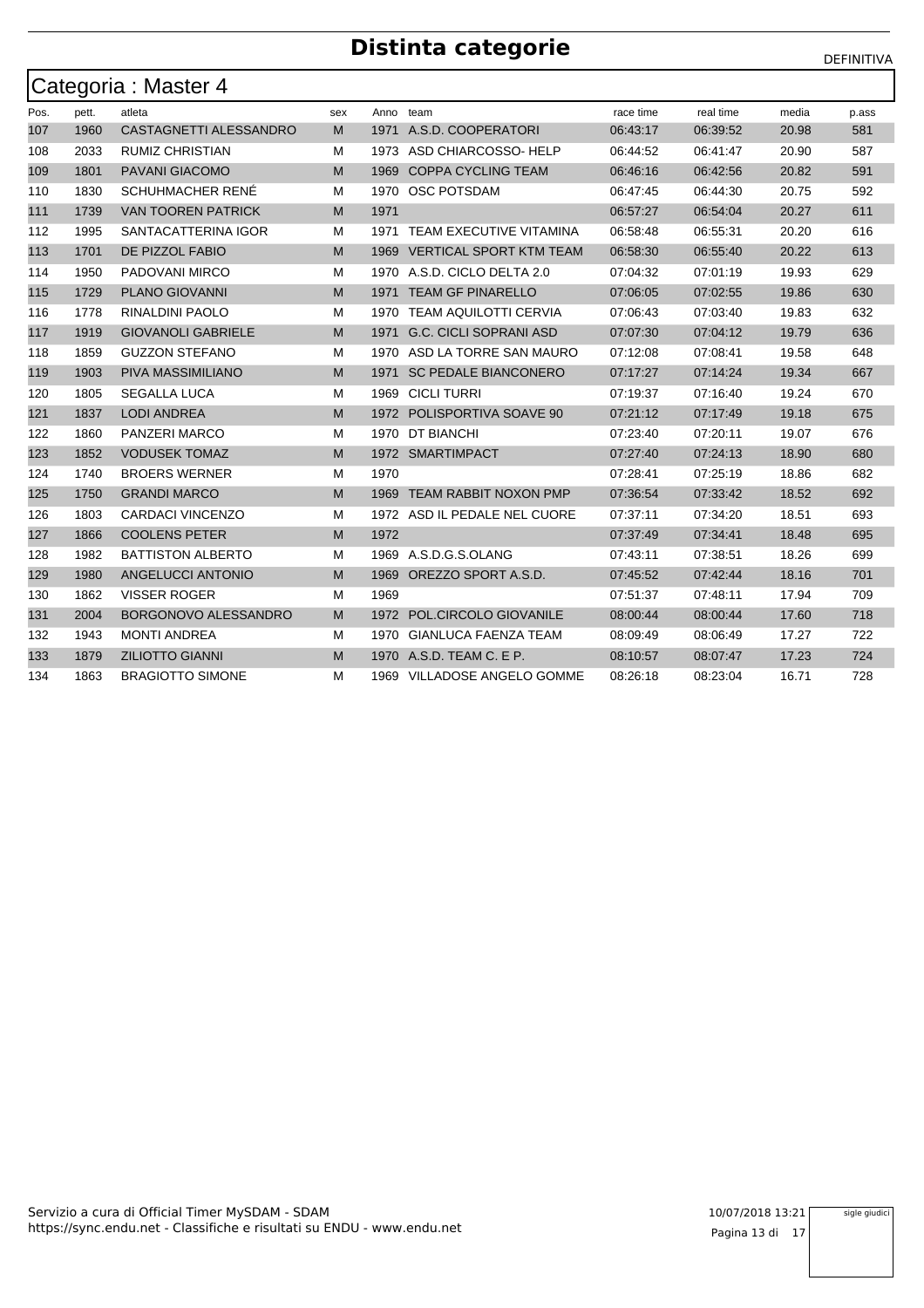|      |       | Categoria : Master 4      |     |           |                                |           |           |       |       |
|------|-------|---------------------------|-----|-----------|--------------------------------|-----------|-----------|-------|-------|
| Pos. | pett. | atleta                    | sex | Anno team |                                | race time | real time | media | p.ass |
| 107  | 1960  | CASTAGNETTI ALESSANDRO    | M   |           | 1971 A.S.D. COOPERATORI        | 06:43:17  | 06:39:52  | 20.98 | 581   |
| 108  | 2033  | <b>RUMIZ CHRISTIAN</b>    | м   |           | 1973 ASD CHIARCOSSO-HELP       | 06:44:52  | 06:41:47  | 20.90 | 587   |
| 109  | 1801  | PAVANI GIACOMO            | M   | 1969      | <b>COPPA CYCLING TEAM</b>      | 06:46:16  | 06:42:56  | 20.82 | 591   |
| 110  | 1830  | <b>SCHUHMACHER RENÉ</b>   | М   | 1970      | <b>OSC POTSDAM</b>             | 06:47:45  | 06:44:30  | 20.75 | 592   |
| 111  | 1739  | <b>VAN TOOREN PATRICK</b> | M   | 1971      |                                | 06:57:27  | 06:54:04  | 20.27 | 611   |
| 112  | 1995  | SANTACATTERINA IGOR       | M   | 1971      | TEAM EXECUTIVE VITAMINA        | 06.58.48  | 06:55:31  | 20.20 | 616   |
| 113  | 1701  | DE PIZZOL FABIO           | M   | 1969      | <b>VERTICAL SPORT KTM TEAM</b> | 06:58:30  | 06:55:40  | 20.22 | 613   |
| 114  | 1950  | PADOVANI MIRCO            | М   |           | 1970 A.S.D. CICLO DELTA 2.0    | 07:04:32  | 07:01:19  | 19.93 | 629   |
| 115  | 1729  | PLANO GIOVANNI            | M   | 1971      | <b>TEAM GF PINARELLO</b>       | 07:06:05  | 07:02:55  | 19.86 | 630   |
| 116  | 1778  | RINALDINI PAOLO           | М   | 1970      | <b>TEAM AQUILOTTI CERVIA</b>   | 07:06:43  | 07:03:40  | 19.83 | 632   |
| 117  | 1919  | <b>GIOVANOLI GABRIELE</b> | M   | 1971      | <b>G.C. CICLI SOPRANI ASD</b>  | 07:07:30  | 07:04:12  | 19.79 | 636   |
| 118  | 1859  | <b>GUZZON STEFANO</b>     | М   |           | 1970 ASD LA TORRE SAN MAURO    | 07:12:08  | 07:08:41  | 19.58 | 648   |
| 119  | 1903  | PIVA MASSIMILIANO         | M   | 1971      | <b>SC PEDALE BIANCONERO</b>    | 07:17:27  | 07:14:24  | 19.34 | 667   |
| 120  | 1805  | <b>SEGALLA LUCA</b>       | М   | 1969      | <b>CICLI TURRI</b>             | 07:19:37  | 07:16:40  | 19.24 | 670   |
| 121  | 1837  | <b>LODI ANDREA</b>        | M   | 1972      | POLISPORTIVA SOAVE 90          | 07:21:12  | 07:17:49  | 19.18 | 675   |
| 122  | 1860  | PANZERI MARCO             | М   | 1970      | DT BIANCHI                     | 07:23:40  | 07:20:11  | 19.07 | 676   |
| 123  | 1852  | <b>VODUSEK TOMAZ</b>      | M   |           | 1972 SMARTIMPACT               | 07:27:40  | 07:24:13  | 18.90 | 680   |
| 124  | 1740  | <b>BROERS WERNER</b>      | М   | 1970      |                                | 07:28:41  | 07:25:19  | 18.86 | 682   |
| 125  | 1750  | <b>GRANDI MARCO</b>       | M   |           | 1969 TEAM RABBIT NOXON PMP     | 07:36:54  | 07:33:42  | 18.52 | 692   |
| 126  | 1803  | <b>CARDACI VINCENZO</b>   | М   |           | 1972 ASD IL PEDALE NEL CUORE   | 07:37:11  | 07:34:20  | 18.51 | 693   |
| 127  | 1866  | <b>COOLENS PETER</b>      | M   | 1972      |                                | 07:37:49  | 07:34:41  | 18.48 | 695   |
| 128  | 1982  | <b>BATTISTON ALBERTO</b>  | м   |           | 1969 A.S.D.G.S.OLANG           | 07:43:11  | 07:38:51  | 18.26 | 699   |
| 129  | 1980  | ANGELUCCI ANTONIO         | M   | 1969      | OREZZO SPORT A.S.D.            | 07:45:52  | 07:42:44  | 18.16 | 701   |
| 130  | 1862  | VISSER ROGER              | М   | 1969      |                                | 07:51:37  | 07:48:11  | 17.94 | 709   |
| 131  | 2004  | BORGONOVO ALESSANDRO      | M   |           | 1972 POL.CIRCOLO GIOVANILE     | 08:00:44  | 08:00:44  | 17.60 | 718   |
| 132  | 1943  | <b>MONTI ANDREA</b>       | М   | 1970      | <b>GIANLUCA FAENZA TEAM</b>    | 08:09:49  | 08:06:49  | 17.27 | 722   |
| 133  | 1879  | <b>ZILIOTTO GIANNI</b>    | M   | 1970      | A.S.D. TEAM C. E P.            | 08:10:57  | 08:07:47  | 17.23 | 724   |
| 134  | 1863  | <b>BRAGIOTTO SIMONE</b>   | м   |           | 1969 VILLADOSE ANGELO GOMME    | 08:26:18  | 08:23:04  | 16.71 | 728   |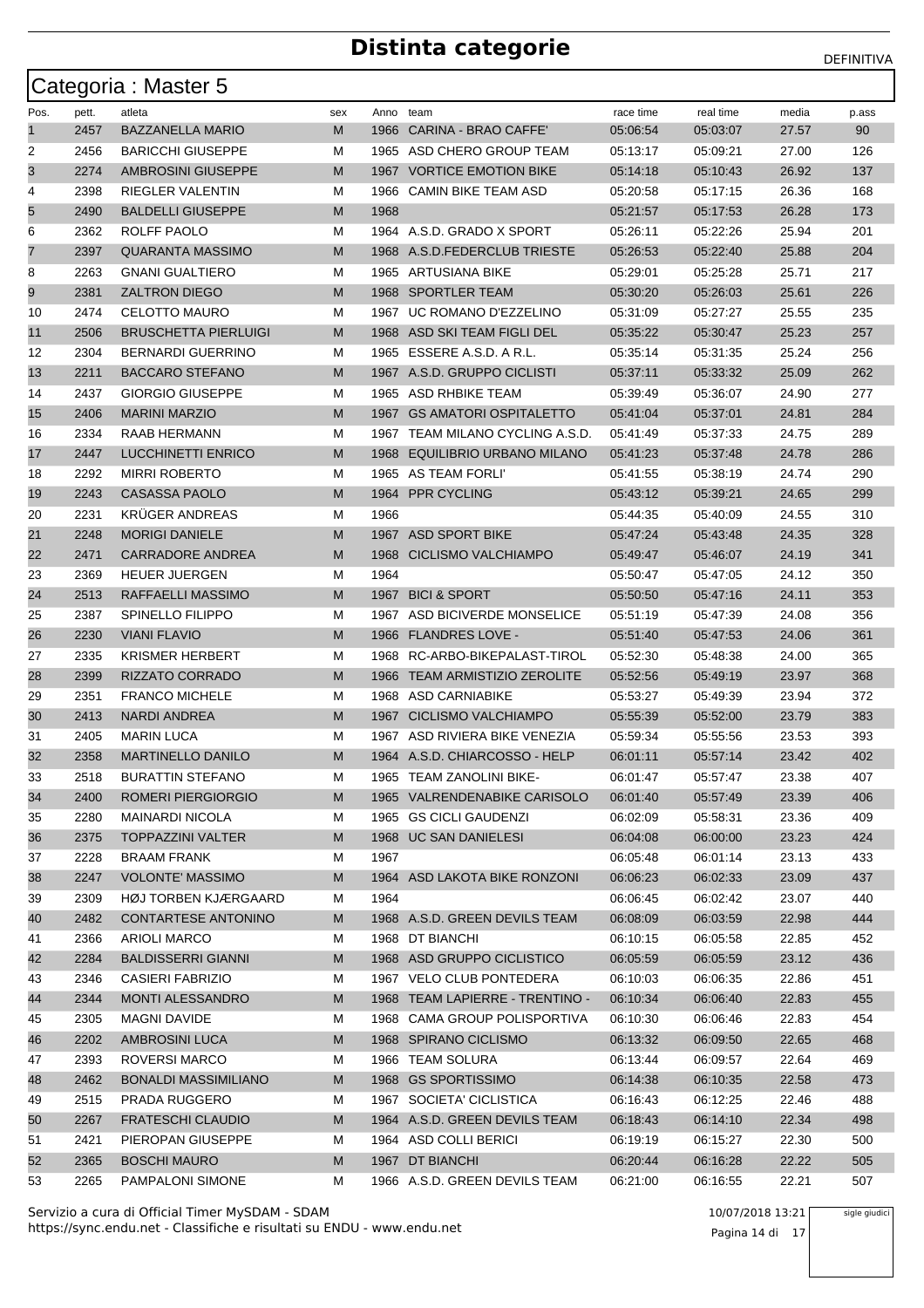|      |       | Categoria: Master 5         |     |           |                                 |           |           |       |       |
|------|-------|-----------------------------|-----|-----------|---------------------------------|-----------|-----------|-------|-------|
| Pos. | pett. | atleta                      | sex | Anno team |                                 | race time | real time | media | p.ass |
| 1    | 2457  | <b>BAZZANELLA MARIO</b>     | М   | 1966      | CARINA - BRAO CAFFE'            | 05:06:54  | 05:03:07  | 27.57 | 90    |
| 2    | 2456  | <b>BARICCHI GIUSEPPE</b>    | М   |           | 1965 ASD CHERO GROUP TEAM       | 05:13:17  | 05:09:21  | 27.00 | 126   |
| 3    | 2274  | AMBROSINI GIUSEPPE          | М   |           | 1967 VORTICE EMOTION BIKE       | 05:14:18  | 05:10:43  | 26.92 | 137   |
| 4    | 2398  | RIEGLER VALENTIN            | М   | 1966      | CAMIN BIKE TEAM ASD             | 05:20:58  | 05:17:15  | 26.36 | 168   |
| 5    | 2490  | <b>BALDELLI GIUSEPPE</b>    | М   | 1968      |                                 | 05:21:57  | 05:17:53  | 26.28 | 173   |
| 6    | 2362  | ROLFF PAOLO                 | М   |           | 1964 A.S.D. GRADO X SPORT       | 05:26:11  | 05:22:26  | 25.94 | 201   |
| 7    | 2397  | <b>QUARANTA MASSIMO</b>     | М   |           | 1968 A.S.D.FEDERCLUB TRIESTE    | 05:26:53  | 05:22:40  | 25.88 | 204   |
| 8    | 2263  | <b>GNANI GUALTIERO</b>      | М   |           | 1965 ARTUSIANA BIKE             | 05:29:01  | 05:25:28  | 25.71 | 217   |
| 9    | 2381  | <b>ZALTRON DIEGO</b>        | М   |           | 1968 SPORTLER TEAM              | 05:30:20  | 05:26:03  | 25.61 | 226   |
| 10   | 2474  | <b>CELOTTO MAURO</b>        | м   |           | 1967 UC ROMANO D'EZZELINO       | 05:31:09  | 05:27:27  | 25.55 | 235   |
| 11   | 2506  | <b>BRUSCHETTA PIERLUIGI</b> | М   |           | 1968 ASD SKI TEAM FIGLI DEL     | 05:35:22  | 05:30:47  | 25.23 | 257   |
| 12   | 2304  | <b>BERNARDI GUERRINO</b>    | М   | 1965      | ESSERE A.S.D. A R.L.            | 05:35:14  | 05:31:35  | 25.24 | 256   |
| 13   | 2211  | <b>BACCARO STEFANO</b>      | М   |           | 1967 A.S.D. GRUPPO CICLISTI     | 05:37:11  | 05:33:32  | 25.09 | 262   |
| 14   | 2437  | <b>GIORGIO GIUSEPPE</b>     | М   |           | 1965 ASD RHBIKE TEAM            | 05:39:49  | 05:36:07  | 24.90 | 277   |
| 15   | 2406  | <b>MARINI MARZIO</b>        | М   |           | 1967 GS AMATORI OSPITALETTO     | 05:41:04  | 05:37:01  | 24.81 | 284   |
| 16   | 2334  | RAAB HERMANN                | М   |           | 1967 TEAM MILANO CYCLING A.S.D. | 05:41:49  | 05:37:33  | 24.75 | 289   |
| 17   | 2447  | <b>LUCCHINETTI ENRICO</b>   | М   |           | 1968 EQUILIBRIO URBANO MILANO   | 05:41:23  | 05:37:48  | 24.78 | 286   |
| 18   | 2292  | <b>MIRRI ROBERTO</b>        | М   | 1965      | AS TEAM FORLI'                  | 05:41:55  | 05:38:19  | 24.74 | 290   |
| 19   | 2243  | <b>CASASSA PAOLO</b>        | М   |           | 1964 PPR CYCLING                | 05:43:12  | 05:39:21  | 24.65 | 299   |
| 20   | 2231  | <b>KRUGER ANDREAS</b>       | М   | 1966      |                                 | 05:44:35  | 05:40:09  | 24.55 | 310   |
| 21   | 2248  | <b>MORIGI DANIELE</b>       | М   |           | 1967 ASD SPORT BIKE             | 05:47:24  | 05:43:48  | 24.35 | 328   |
| 22   | 2471  | <b>CARRADORE ANDREA</b>     | М   |           | 1968 CICLISMO VALCHIAMPO        | 05:49:47  | 05:46:07  | 24.19 | 341   |
| 23   | 2369  | <b>HEUER JUERGEN</b>        | М   | 1964      |                                 | 05:50:47  | 05:47:05  | 24.12 | 350   |
| 24   | 2513  | RAFFAELLI MASSIMO           | М   |           | 1967 BICI & SPORT               | 05:50:50  | 05:47:16  | 24.11 | 353   |
| 25   | 2387  | <b>SPINELLO FILIPPO</b>     | М   |           | 1967 ASD BICIVERDE MONSELICE    | 05:51:19  | 05:47:39  | 24.08 | 356   |
| 26   | 2230  | <b>VIANI FLAVIO</b>         | М   |           | 1966 FLANDRES LOVE -            | 05:51:40  | 05:47:53  | 24.06 | 361   |
| 27   | 2335  | <b>KRISMER HERBERT</b>      | М   |           | 1968 RC-ARBO-BIKEPALAST-TIROL   | 05:52:30  | 05:48:38  | 24.00 | 365   |
| 28   | 2399  | RIZZATO CORRADO             | М   | 1966      | TEAM ARMISTIZIO ZEROLITE        | 05:52:56  | 05:49:19  | 23.97 | 368   |
| 29   | 2351  | <b>FRANCO MICHELE</b>       | М   |           | 1968 ASD CARNIABIKE             | 05:53:27  | 05:49:39  | 23.94 | 372   |
| 30   | 2413  | <b>NARDI ANDREA</b>         | М   |           | 1967 CICLISMO VALCHIAMPO        | 05.55.39  | 05:52:00  | 23.79 | 383   |
| 31   | 2405  | <b>MARIN LUCA</b>           | М   |           | 1967 ASD RIVIERA BIKE VENEZIA   | 05:59:34  | 05:55:56  | 23.53 | 393   |
| 32   | 2358  | <b>MARTINELLO DANILO</b>    | М   |           | 1964 A.S.D. CHIARCOSSO - HELP   | 06:01:11  | 05:57:14  | 23.42 | 402   |
| 33   | 2518  | <b>BURATTIN STEFANO</b>     | M   |           | 1965 TEAM ZANOLINI BIKE-        | 06:01:47  | 05.5/14/  | 23.38 | 407   |
| 34   | 2400  | ROMERI PIERGIORGIO          | M   |           | 1965 VALRENDENABIKE CARISOLO    | 06:01:40  | 05:57:49  | 23.39 | 406   |
| 35   | 2280  | <b>MAINARDI NICOLA</b>      | М   |           | 1965 GS CICLI GAUDENZI          | 06:02:09  | 05:58:31  | 23.36 | 409   |
| 36   | 2375  | <b>TOPPAZZINI VALTER</b>    | M   |           | 1968 UC SAN DANIELESI           | 06:04:08  | 06:00:00  | 23.23 | 424   |
| 37   | 2228  | <b>BRAAM FRANK</b>          | M   | 1967      |                                 | 06:05:48  | 06:01:14  | 23.13 | 433   |
| 38   | 2247  | <b>VOLONTE' MASSIMO</b>     | M   |           | 1964 ASD LAKOTA BIKE RONZONI    | 06:06:23  | 06:02:33  | 23.09 | 437   |
| 39   | 2309  | HØJ TORBEN KJÆRGAARD        | М   | 1964      |                                 | 06:06:45  | 06:02:42  | 23.07 | 440   |
| 40   | 2482  | <b>CONTARTESE ANTONINO</b>  | M   |           | 1968 A.S.D. GREEN DEVILS TEAM   | 06:08:09  | 06:03:59  | 22.98 | 444   |
| 41   | 2366  | ARIOLI MARCO                | M   |           | 1968 DT BIANCHI                 | 06:10:15  | 06:05:58  | 22.85 | 452   |
| 42   | 2284  | <b>BALDISSERRI GIANNI</b>   | M   |           | 1968 ASD GRUPPO CICLISTICO      | 06:05:59  | 06:05:59  | 23.12 | 436   |
| 43   | 2346  | <b>CASIERI FABRIZIO</b>     | М   |           | 1967 VELO CLUB PONTEDERA        | 06:10:03  | 06:06:35  | 22.86 | 451   |
| 44   | 2344  | <b>MONTI ALESSANDRO</b>     | M   |           | 1968 TEAM LAPIERRE - TRENTINO - | 06:10:34  | 06:06:40  | 22.83 | 455   |
| 45   | 2305  | MAGNI DAVIDE                | M   |           | 1968 CAMA GROUP POLISPORTIVA    | 06:10:30  | 06:06:46  | 22.83 | 454   |
| 46   | 2202  | <b>AMBROSINI LUCA</b>       | M   |           | 1968 SPIRANO CICLISMO           | 06:13:32  | 06:09:50  | 22.65 | 468   |
| 47   | 2393  | ROVERSI MARCO               | М   |           | 1966 TEAM SOLURA                | 06:13:44  | 06:09:57  | 22.64 | 469   |
| 48   | 2462  | <b>BONALDI MASSIMILIANO</b> | M   |           | 1968 GS SPORTISSIMO             | 06:14:38  | 06:10:35  | 22.58 | 473   |
| 49   | 2515  | PRADA RUGGERO               | М   |           | 1967 SOCIETA' CICLISTICA        | 06:16:43  | 06:12:25  | 22.46 | 488   |
| 50   | 2267  | <b>FRATESCHI CLAUDIO</b>    | M   |           | 1964 A.S.D. GREEN DEVILS TEAM   | 06:18:43  | 06:14:10  | 22.34 | 498   |
| 51   | 2421  | PIEROPAN GIUSEPPE           | M   |           | 1964 ASD COLLI BERICI           | 06:19:19  | 06:15:27  | 22.30 | 500   |
| 52   | 2365  | <b>BOSCHI MAURO</b>         | M   |           | 1967 DT BIANCHI                 | 06:20:44  | 06:16:28  | 22.22 | 505   |
| 53   | 2265  | PAMPALONI SIMONE            | М   |           | 1966 A.S.D. GREEN DEVILS TEAM   | 06:21:00  | 06:16:55  | 22.21 | 507   |

https://sync.endu.net - Classifiche e risultati su ENDU - www.endu.net Servizio a cura di Official Timer MySDAM - SDAM 10/07/2018 13:21

Pagina 14 di 17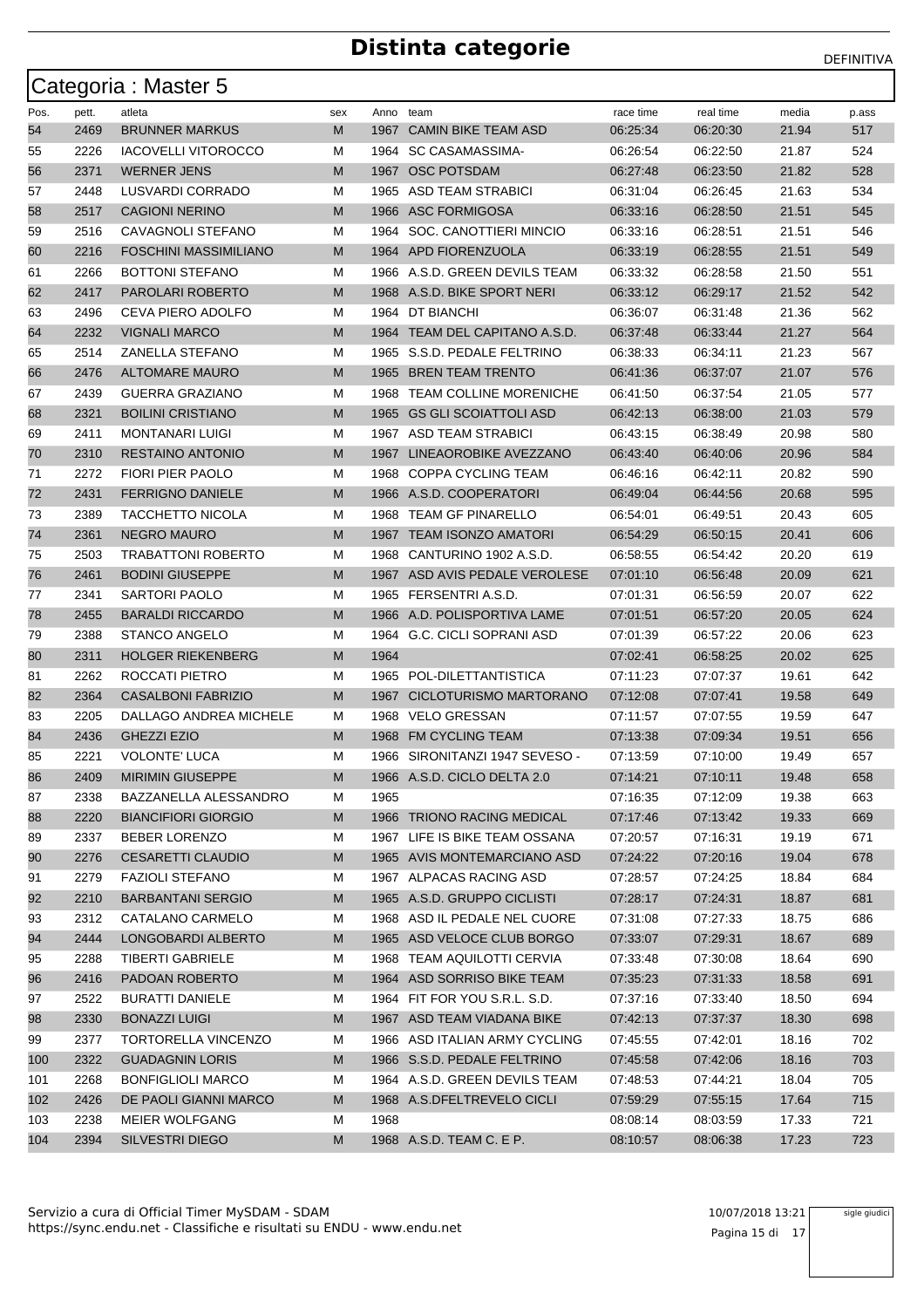|      |       | Categoria: Master 5          |     |           |                                |           |           |       |       |
|------|-------|------------------------------|-----|-----------|--------------------------------|-----------|-----------|-------|-------|
| Pos. | pett. | atleta                       | sex | Anno team |                                | race time | real time | media | p.ass |
| 54   | 2469  | <b>BRUNNER MARKUS</b>        | M   | 1967      | <b>CAMIN BIKE TEAM ASD</b>     | 06:25:34  | 06:20:30  | 21.94 | 517   |
| 55   | 2226  | <b>IACOVELLI VITOROCCO</b>   | м   |           | 1964 SC CASAMASSIMA-           | 06:26:54  | 06:22:50  | 21.87 | 524   |
| 56   | 2371  | <b>WERNER JENS</b>           | M   | 1967      | <b>OSC POTSDAM</b>             | 06:27:48  | 06:23:50  | 21.82 | 528   |
| 57   | 2448  | LUSVARDI CORRADO             | м   | 1965      | ASD TEAM STRABICI              | 06:31:04  | 06:26:45  | 21.63 | 534   |
| 58   | 2517  | <b>CAGIONI NERINO</b>        | M   |           | 1966 ASC FORMIGOSA             | 06:33:16  | 06:28:50  | 21.51 | 545   |
| 59   | 2516  | CAVAGNOLI STEFANO            | м   | 1964      | SOC. CANOTTIERI MINCIO         | 06:33:16  | 06:28:51  | 21.51 | 546   |
| 60   | 2216  | <b>FOSCHINI MASSIMILIANO</b> | M   |           | 1964 APD FIORENZUOLA           | 06:33:19  | 06:28:55  | 21.51 | 549   |
| 61   | 2266  | <b>BOTTONI STEFANO</b>       | м   |           | 1966 A.S.D. GREEN DEVILS TEAM  | 06:33:32  | 06:28:58  | 21.50 | 551   |
| 62   | 2417  | PAROLARI ROBERTO             | M   |           | 1968 A.S.D. BIKE SPORT NERI    | 06:33:12  | 06:29:17  | 21.52 | 542   |
| 63   | 2496  | CEVA PIERO ADOLFO            | м   |           | 1964 DT BIANCHI                | 06:36:07  | 06:31:48  | 21.36 | 562   |
| 64   | 2232  | <b>VIGNALI MARCO</b>         | M   |           | 1964 TEAM DEL CAPITANO A.S.D.  | 06:37:48  | 06:33:44  | 21.27 | 564   |
| 65   | 2514  | <b>ZANELLA STEFANO</b>       | м   | 1965      | S.S.D. PEDALE FELTRINO         | 06:38:33  | 06:34:11  | 21.23 | 567   |
| 66   | 2476  | <b>ALTOMARE MAURO</b>        | M   |           | 1965 BREN TEAM TRENTO          | 06:41:36  | 06:37:07  | 21.07 | 576   |
| 67   | 2439  | <b>GUERRA GRAZIANO</b>       | M   |           | 1968 TEAM COLLINE MORENICHE    | 06:41:50  | 06:37:54  | 21.05 | 577   |
| 68   | 2321  | <b>BOILINI CRISTIANO</b>     | M   | 1965      | <b>GS GLI SCOIATTOLI ASD</b>   | 06:42:13  | 06:38:00  | 21.03 | 579   |
| 69   | 2411  | <b>MONTANARI LUIGI</b>       | м   |           | 1967 ASD TEAM STRABICI         | 06:43:15  | 06:38:49  | 20.98 | 580   |
| 70   | 2310  | <b>RESTAINO ANTONIO</b>      | M   |           | 1967 LINEAOROBIKE AVEZZANO     | 06:43:40  | 06:40:06  | 20.96 | 584   |
| 71   | 2272  | <b>FIORI PIER PAOLO</b>      | M   | 1968      | <b>COPPA CYCLING TEAM</b>      | 06:46:16  | 06:42:11  | 20.82 | 590   |
| 72   | 2431  | <b>FERRIGNO DANIELE</b>      | M   |           | 1966 A.S.D. COOPERATORI        | 06:49:04  | 06:44:56  | 20.68 | 595   |
| 73   | 2389  | <b>TACCHETTO NICOLA</b>      | м   |           | 1968 TEAM GF PINARELLO         | 06:54:01  | 06:49:51  | 20.43 | 605   |
| 74   | 2361  | <b>NEGRO MAURO</b>           | M   |           | 1967 TEAM ISONZO AMATORI       | 06:54:29  | 06:50:15  | 20.41 | 606   |
| 75   | 2503  | <b>TRABATTONI ROBERTO</b>    | м   | 1968      | CANTURINO 1902 A.S.D.          | 06:58:55  | 06:54:42  | 20.20 | 619   |
| 76   | 2461  | <b>BODINI GIUSEPPE</b>       | M   |           | 1967 ASD AVIS PEDALE VEROLESE  | 07:01:10  | 06:56:48  | 20.09 | 621   |
| 77   | 2341  | <b>SARTORI PAOLO</b>         | м   | 1965      | FERSENTRI A.S.D.               | 07:01:31  | 06:56:59  | 20.07 | 622   |
| 78   | 2455  | <b>BARALDI RICCARDO</b>      | M   |           | 1966 A.D. POLISPORTIVA LAME    | 07:01:51  | 06:57:20  | 20.05 | 624   |
| 79   | 2388  | <b>STANCO ANGELO</b>         | м   |           | 1964 G.C. CICLI SOPRANI ASD    | 07:01:39  | 06:57:22  | 20.06 | 623   |
| 80   | 2311  | <b>HOLGER RIEKENBERG</b>     | M   | 1964      |                                | 07:02:41  | 06:58:25  | 20.02 | 625   |
| 81   | 2262  | ROCCATI PIETRO               | м   |           | 1965 POL-DILETTANTISTICA       | 07:11:23  | 07:07:37  | 19.61 | 642   |
| 82   | 2364  | <b>CASALBONI FABRIZIO</b>    | M   |           | 1967 CICLOTURISMO MARTORANO    | 07:12:08  | 07:07:41  | 19.58 | 649   |
| 83   | 2205  | DALLAGO ANDREA MICHELE       | M   | 1968      | <b>VELO GRESSAN</b>            | 07:11:57  | 07:07:55  | 19.59 | 647   |
| 84   | 2436  | <b>GHEZZI EZIO</b>           | M   |           | 1968 FM CYCLING TEAM           | 07:13:38  | 07:09:34  | 19.51 | 656   |
| 85   | 2221  | <b>VOLONTE' LUCA</b>         | M   |           | 1966 SIRONITANZI 1947 SEVESO - | 07:13:59  | 07:10:00  | 19.49 | 657   |
| 86   | 2409  | MIRIMIN GIUSEPPE             | M   |           | 1966 A.S.D. CICLO DELTA 2.0    | 07:14:21  | 07:10:11  | 19.48 | 658   |
| 87   | 2338  | BAZZANELLA ALESSANDRO        | M   | 1965      |                                | 07:16:35  | 07:12:09  | 19.38 | 663   |
| 88   | 2220  | <b>BIANCIFIORI GIORGIO</b>   | M   |           | 1966 TRIONO RACING MEDICAL     | 07:17:46  | 07:13:42  | 19.33 | 669   |
| 89   | 2337  | BEBER LORENZO                | м   |           | 1967 LIFE IS BIKE TEAM OSSANA  | 07:20:57  | 07:16:31  | 19.19 | 671   |
| 90   | 2276  | <b>CESARETTI CLAUDIO</b>     | M   |           | 1965 AVIS MONTEMARCIANO ASD    | 07:24:22  | 07:20:16  | 19.04 | 678   |
| 91   | 2279  | <b>FAZIOLI STEFANO</b>       | м   |           | 1967 ALPACAS RACING ASD        | 07:28:57  | 07:24:25  | 18.84 | 684   |
| 92   | 2210  | <b>BARBANTANI SERGIO</b>     | M   |           | 1965 A.S.D. GRUPPO CICLISTI    | 07:28:17  | 07:24:31  | 18.87 | 681   |
| 93   | 2312  | CATALANO CARMELO             | м   |           | 1968 ASD IL PEDALE NEL CUORE   | 07:31:08  | 07:27:33  | 18.75 | 686   |
| 94   | 2444  | LONGOBARDI ALBERTO           | M   |           | 1965 ASD VELOCE CLUB BORGO     | 07:33:07  | 07:29:31  | 18.67 | 689   |
| 95   | 2288  | <b>TIBERTI GABRIELE</b>      | м   |           | 1968 TEAM AQUILOTTI CERVIA     | 07:33:48  | 07:30:08  | 18.64 | 690   |
| 96   | 2416  | PADOAN ROBERTO               | M   |           | 1964 ASD SORRISO BIKE TEAM     | 07:35:23  | 07:31:33  | 18.58 | 691   |
| 97   | 2522  | <b>BURATTI DANIELE</b>       | м   |           | 1964 FIT FOR YOU S.R.L. S.D.   | 07:37:16  | 07:33:40  | 18.50 | 694   |
| 98   | 2330  | <b>BONAZZI LUIGI</b>         | M   |           | 1967 ASD TEAM VIADANA BIKE     | 07:42:13  | 07:37:37  | 18.30 | 698   |
| 99   | 2377  | TORTORELLA VINCENZO          | M   |           | 1966 ASD ITALIAN ARMY CYCLING  | 07:45:55  | 07:42:01  | 18.16 | 702   |
| 100  | 2322  | <b>GUADAGNIN LORIS</b>       | M   |           | 1966 S.S.D. PEDALE FELTRINO    | 07:45:58  | 07:42:06  | 18.16 | 703   |
| 101  | 2268  | <b>BONFIGLIOLI MARCO</b>     | M   |           | 1964 A.S.D. GREEN DEVILS TEAM  | 07:48:53  | 07:44:21  | 18.04 | 705   |
| 102  | 2426  | DE PAOLI GIANNI MARCO        | M   |           | 1968 A.S.DFELTREVELO CICLI     | 07:59:29  | 07:55:15  | 17.64 | 715   |
|      | 2238  | MEIER WOLFGANG               | м   | 1968      |                                | 08:08:14  | 08:03:59  | 17.33 | 721   |
| 103  |       |                              |     |           |                                |           |           |       |       |
| 104  | 2394  | <b>SILVESTRI DIEGO</b>       | M   |           | 1968 A.S.D. TEAM C. E P.       | 08:10:57  | 08:06:38  | 17.23 | 723   |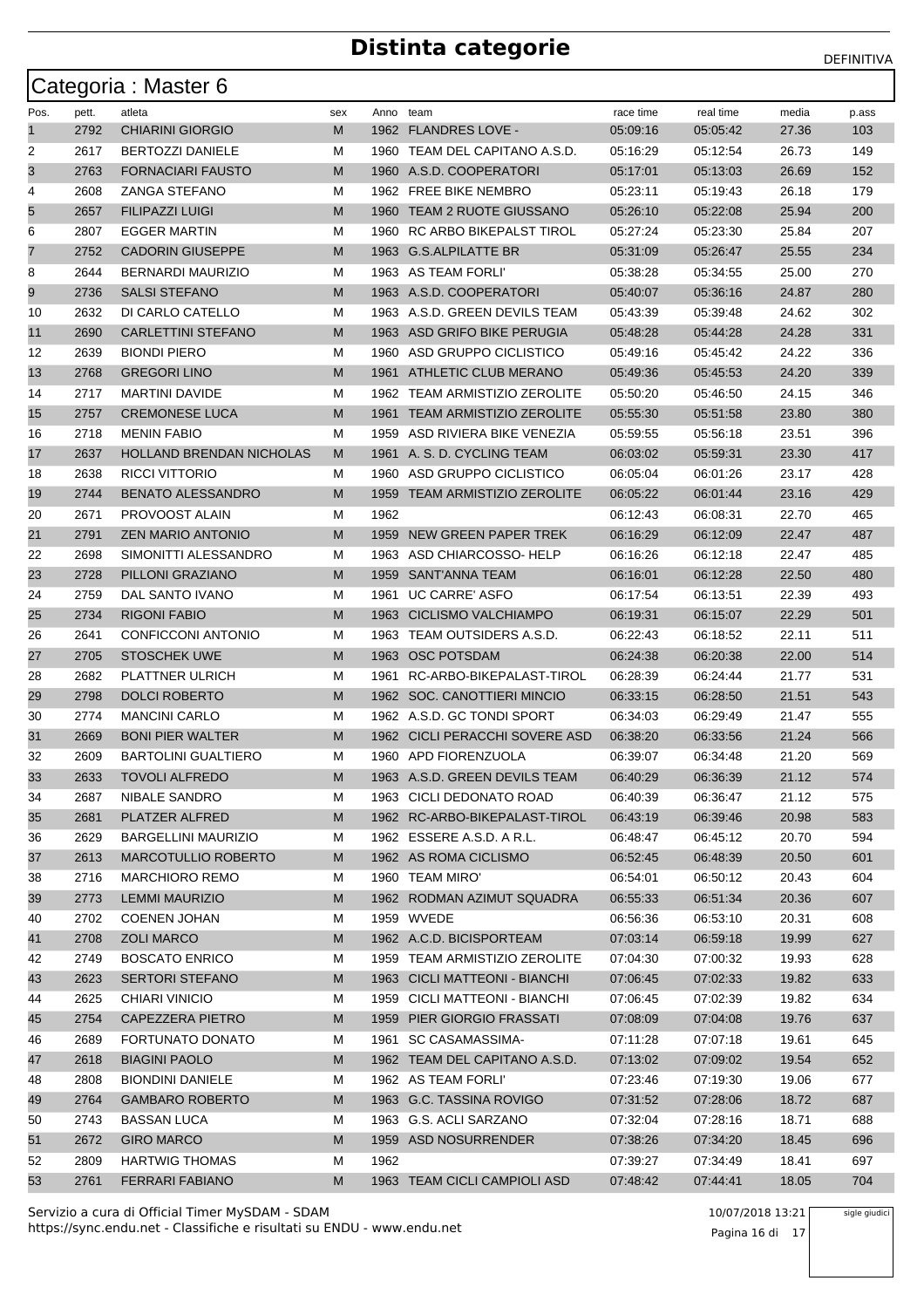|      |       | Categoria: Master 6             |     |           |                                |           |           |       |       |
|------|-------|---------------------------------|-----|-----------|--------------------------------|-----------|-----------|-------|-------|
| Pos. | pett. | atleta                          | sex | Anno team |                                | race time | real time | media | p.ass |
| 1    | 2792  | <b>CHIARINI GIORGIO</b>         | M   |           | 1962 FLANDRES LOVE -           | 05:09:16  | 05:05:42  | 27.36 | 103   |
| 2    | 2617  | <b>BERTOZZI DANIELE</b>         | м   |           | 1960 TEAM DEL CAPITANO A.S.D.  | 05:16:29  | 05:12:54  | 26.73 | 149   |
| 3    | 2763  | FORNACIARI FAUSTO               | M   |           | 1960 A.S.D. COOPERATORI        | 05:17:01  | 05:13:03  | 26.69 | 152   |
| 4    | 2608  | <b>ZANGA STEFANO</b>            | м   |           | 1962 FREE BIKE NEMBRO          | 05:23:11  | 05:19:43  | 26.18 | 179   |
| 5    | 2657  | <b>FILIPAZZI LUIGI</b>          | M   |           | 1960 TEAM 2 RUOTE GIUSSANO     | 05:26:10  | 05:22:08  | 25.94 | 200   |
| 6    | 2807  | <b>EGGER MARTIN</b>             | М   | 1960      | RC ARBO BIKEPALST TIROL        | 05:27:24  | 05:23:30  | 25.84 | 207   |
| 7    | 2752  | <b>CADORIN GIUSEPPE</b>         | M   |           | 1963 G.S.ALPILATTE BR          | 05:31:09  | 05:26:47  | 25.55 | 234   |
| 8    | 2644  | <b>BERNARDI MAURIZIO</b>        | м   |           | 1963 AS TEAM FORLI'            | 05:38:28  | 05:34:55  | 25.00 | 270   |
| 9    | 2736  | <b>SALSI STEFANO</b>            | M   |           | 1963 A.S.D. COOPERATORI        | 05:40:07  | 05:36:16  | 24.87 | 280   |
| 10   | 2632  | DI CARLO CATELLO                | М   |           | 1963 A.S.D. GREEN DEVILS TEAM  | 05:43:39  | 05:39:48  | 24.62 | 302   |
| 11   | 2690  | <b>CARLETTINI STEFANO</b>       | M   |           | 1963 ASD GRIFO BIKE PERUGIA    | 05:48:28  | 05:44:28  | 24.28 | 331   |
| 12   | 2639  | <b>BIONDI PIERO</b>             | М   | 1960      | ASD GRUPPO CICLISTICO          | 05:49:16  | 05:45:42  | 24.22 | 336   |
| 13   | 2768  | <b>GREGORI LINO</b>             | M   |           | 1961 ATHLETIC CLUB MERANO      | 05:49:36  | 05:45:53  | 24.20 | 339   |
| 14   | 2717  | <b>MARTINI DAVIDE</b>           | м   |           | 1962 TEAM ARMISTIZIO ZEROLITE  | 05:50:20  | 05:46:50  | 24.15 | 346   |
| 15   | 2757  | <b>CREMONESE LUCA</b>           | M   |           | 1961 TEAM ARMISTIZIO ZEROLITE  | 05:55:30  | 05:51:58  | 23.80 | 380   |
| 16   | 2718  | <b>MENIN FABIO</b>              | м   | 1959      | ASD RIVIERA BIKE VENEZIA       | 05:59:55  | 05:56:18  | 23.51 | 396   |
| 17   | 2637  | <b>HOLLAND BRENDAN NICHOLAS</b> | M   |           | 1961 A. S. D. CYCLING TEAM     | 06:03:02  | 05:59:31  | 23.30 | 417   |
| 18   | 2638  | <b>RICCI VITTORIO</b>           | М   | 1960      | ASD GRUPPO CICLISTICO          | 06:05:04  | 06:01:26  | 23.17 | 428   |
| 19   | 2744  | <b>BENATO ALESSANDRO</b>        | M   | 1959      | TEAM ARMISTIZIO ZEROLITE       | 06:05:22  | 06:01:44  | 23.16 | 429   |
| 20   | 2671  | PROVOOST ALAIN                  | м   | 1962      |                                | 06:12:43  | 06:08:31  | 22.70 | 465   |
| 21   | 2791  | <b>ZEN MARIO ANTONIO</b>        | M   | 1959      | NEW GREEN PAPER TREK           | 06:16:29  | 06:12:09  | 22.47 | 487   |
| 22   | 2698  | SIMONITTI ALESSANDRO            | М   |           | 1963 ASD CHIARCOSSO-HELP       | 06:16:26  | 06:12:18  | 22.47 | 485   |
| 23   | 2728  | PILLONI GRAZIANO                | M   |           | 1959 SANT'ANNA TEAM            | 06:16:01  | 06:12:28  | 22.50 | 480   |
| 24   | 2759  | DAL SANTO IVANO                 | М   | 1961      | <b>UC CARRE' ASFO</b>          | 06:17:54  | 06:13:51  | 22.39 | 493   |
| 25   | 2734  | <b>RIGONI FABIO</b>             | M   | 1963      | CICLISMO VALCHIAMPO            | 06:19:31  | 06:15:07  | 22.29 | 501   |
| 26   | 2641  | CONFICCONI ANTONIO              | м   | 1963      | TEAM OUTSIDERS A.S.D.          | 06:22:43  | 06:18:52  | 22.11 | 511   |
| 27   | 2705  | <b>STOSCHEK UWE</b>             | M   | 1963      | <b>OSC POTSDAM</b>             | 06:24:38  | 06:20:38  | 22.00 | 514   |
| 28   | 2682  | PLATTNER ULRICH                 | м   | 1961      | RC-ARBO-BIKEPALAST-TIROL       | 06:28:39  | 06:24:44  | 21.77 | 531   |
| 29   | 2798  | <b>DOLCI ROBERTO</b>            | M   |           | 1962 SOC. CANOTTIERI MINCIO    | 06:33:15  | 06:28:50  | 21.51 | 543   |
| 30   | 2774  | <b>MANCINI CARLO</b>            | м   |           | 1962 A.S.D. GC TONDI SPORT     | 06:34:03  | 06:29:49  | 21.47 | 555   |
| 31   | 2669  | <b>BONI PIER WALTER</b>         | M   |           | 1962 CICLI PERACCHI SOVERE ASD | 06:38:20  | 06:33:56  | 21.24 | 566   |
| 32   | 2609  | <b>BARTOLINI GUALTIERO</b>      | м   |           | 1960 APD FIORENZUOLA           | 06:39:07  | 06:34:48  | 21.20 | 569   |
| 33   | 2633  | <b>TOVOLI ALFREDO</b>           | M   |           | 1963 A.S.D. GREEN DEVILS TEAM  | 06:40:29  | 06:36:39  | 21.12 | 574   |
| 34   | 2687  | NIBALE SANDRO                   | м   |           | 1963 CICLI DEDONATO ROAD       | 06:40:39  | 06:36:47  | 21.12 | 575   |
| 35   | 2681  | PLATZER ALFRED                  | M   |           | 1962 RC-ARBO-BIKEPALAST-TIROL  | 06:43:19  | 06:39:46  | 20.98 | 583   |
| 36   | 2629  | <b>BARGELLINI MAURIZIO</b>      | М   |           | 1962 ESSERE A.S.D. A R.L.      | 06:48:47  | 06:45:12  | 20.70 | 594   |
| 37   | 2613  | MARCOTULLIO ROBERTO             | M   |           | 1962 AS ROMA CICLISMO          | 06:52:45  | 06:48:39  | 20.50 | 601   |
| 38   | 2716  | <b>MARCHIORO REMO</b>           | М   |           | 1960 TEAM MIRO'                | 06:54:01  | 06:50:12  | 20.43 | 604   |
| 39   | 2773  | <b>LEMMI MAURIZIO</b>           | M   |           | 1962 RODMAN AZIMUT SQUADRA     | 06:55:33  | 06:51:34  | 20.36 | 607   |
| 40   | 2702  | <b>COENEN JOHAN</b>             | M   |           | 1959 WVEDE                     | 06:56:36  | 06:53:10  | 20.31 | 608   |
| 41   | 2708  | <b>ZOLI MARCO</b>               | M   |           | 1962 A.C.D. BICISPORTEAM       | 07:03:14  | 06:59:18  | 19.99 | 627   |
| 42   | 2749  | <b>BOSCATO ENRICO</b>           | М   |           | 1959 TEAM ARMISTIZIO ZEROLITE  | 07:04:30  | 07:00:32  | 19.93 | 628   |
| 43   | 2623  | <b>SERTORI STEFANO</b>          | M   |           | 1963 CICLI MATTEONI - BIANCHI  | 07:06:45  | 07:02:33  | 19.82 | 633   |
| 44   | 2625  | <b>CHIARI VINICIO</b>           | М   |           | 1959 CICLI MATTEONI - BIANCHI  | 07:06:45  | 07:02:39  | 19.82 | 634   |
| 45   | 2754  | CAPEZZERA PIETRO                | M   |           | 1959 PIER GIORGIO FRASSATI     | 07:08:09  | 07:04:08  | 19.76 | 637   |
| 46   | 2689  | FORTUNATO DONATO                | м   |           | 1961 SC CASAMASSIMA-           | 07:11:28  | 07:07:18  | 19.61 | 645   |
| 47   | 2618  | <b>BIAGINI PAOLO</b>            | M   |           | 1962 TEAM DEL CAPITANO A.S.D.  | 07:13:02  | 07:09:02  | 19.54 | 652   |
| 48   | 2808  | <b>BIONDINI DANIELE</b>         | М   |           | 1962 AS TEAM FORLI'            | 07:23:46  | 07:19:30  | 19.06 | 677   |
| 49   | 2764  | <b>GAMBARO ROBERTO</b>          | M   |           | 1963 G.C. TASSINA ROVIGO       | 07:31:52  | 07:28:06  | 18.72 | 687   |
| 50   | 2743  | <b>BASSAN LUCA</b>              | М   |           | 1963 G.S. ACLI SARZANO         | 07:32:04  | 07:28:16  | 18.71 | 688   |
| 51   | 2672  | <b>GIRO MARCO</b>               | M   |           | 1959 ASD NOSURRENDER           | 07:38:26  | 07:34:20  | 18.45 | 696   |
| 52   | 2809  | HARTWIG THOMAS                  | М   | 1962      |                                | 07:39:27  | 07:34:49  | 18.41 | 697   |
| 53   | 2761  | <b>FERRARI FABIANO</b>          | M   |           | 1963 TEAM CICLI CAMPIOLI ASD   | 07:48:42  | 07:44:41  | 18.05 | 704   |

sigle giudici

Pagina 16 di 17